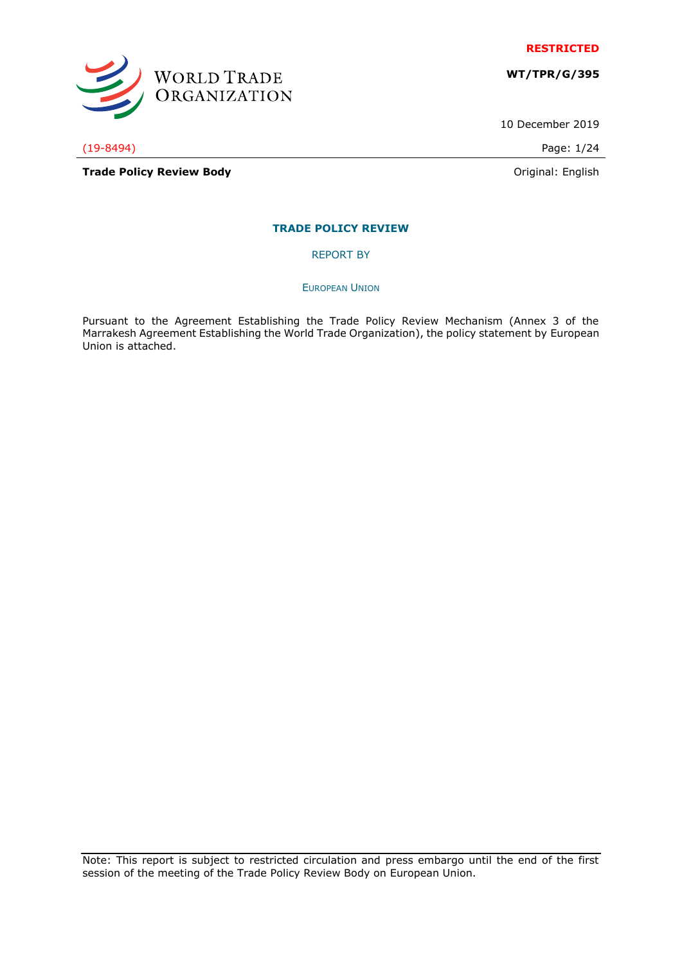

**WT/TPR/G/395**

10 December 2019

(19-8494) Page: 1/24

WORLD TRADE<br>ORGANIZATION

**Trade Policy Review Body Contract Contract Contract Contract Contract Contract Contract Contract Contract Contract Contract Contract Contract Contract Contract Contract Contract Contract Contract Contract Contract Contr** 

# **TRADE POLICY REVIEW**

REPORT BY

EUROPEAN UNION

Pursuant to the Agreement Establishing the Trade Policy Review Mechanism (Annex 3 of the Marrakesh Agreement Establishing the World Trade Organization), the policy statement by European Union is attached.

Note: This report is subject to restricted circulation and press embargo until the end of the first session of the meeting of the Trade Policy Review Body on European Union.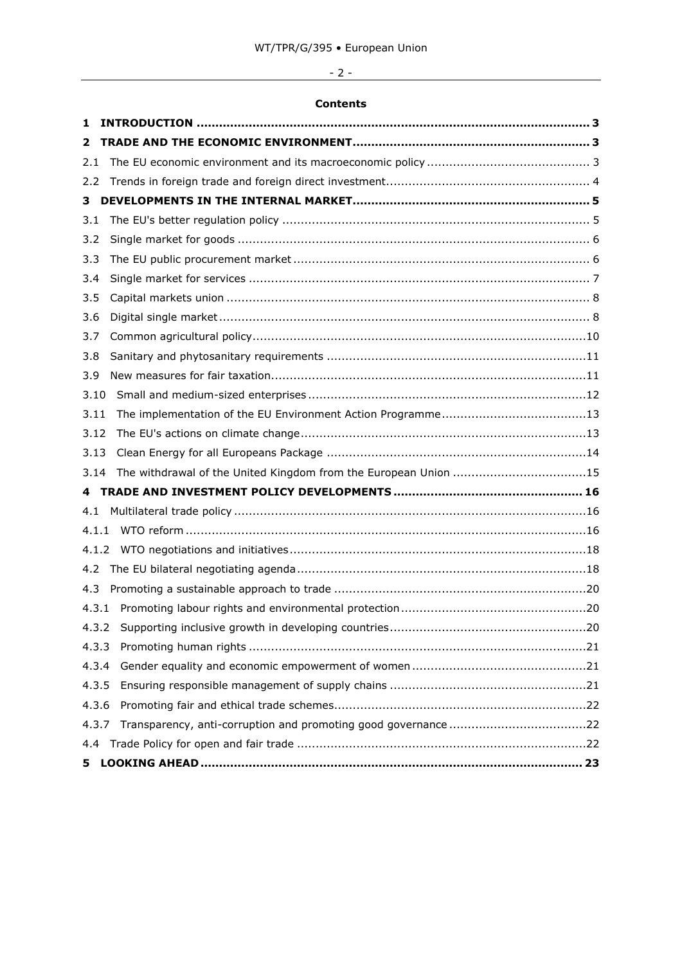# - 2 -

# **Contents**

| 1     |                                                                 |
|-------|-----------------------------------------------------------------|
| 2     |                                                                 |
| 2.1   |                                                                 |
| 2.2   |                                                                 |
| 3     |                                                                 |
| 3.1   |                                                                 |
| 3.2   |                                                                 |
| 3.3   |                                                                 |
| 3.4   |                                                                 |
| 3.5   |                                                                 |
| 3.6   |                                                                 |
| 3.7   |                                                                 |
| 3.8   |                                                                 |
| 3.9   |                                                                 |
| 3.10  |                                                                 |
| 3.11  |                                                                 |
| 3.12  |                                                                 |
| 3.13  |                                                                 |
| 3.14  | The withdrawal of the United Kingdom from the European Union 15 |
|       |                                                                 |
| 4.1   |                                                                 |
| 4.1.1 |                                                                 |
| 4.1.2 |                                                                 |
| 4.2   |                                                                 |
| 4.3   |                                                                 |
| 4.3.1 |                                                                 |
|       |                                                                 |
| 4.3.3 |                                                                 |
| 4.3.4 |                                                                 |
| 4.3.5 |                                                                 |
| 4.3.6 |                                                                 |
| 4.3.7 |                                                                 |
| 4.4   |                                                                 |
| 5     |                                                                 |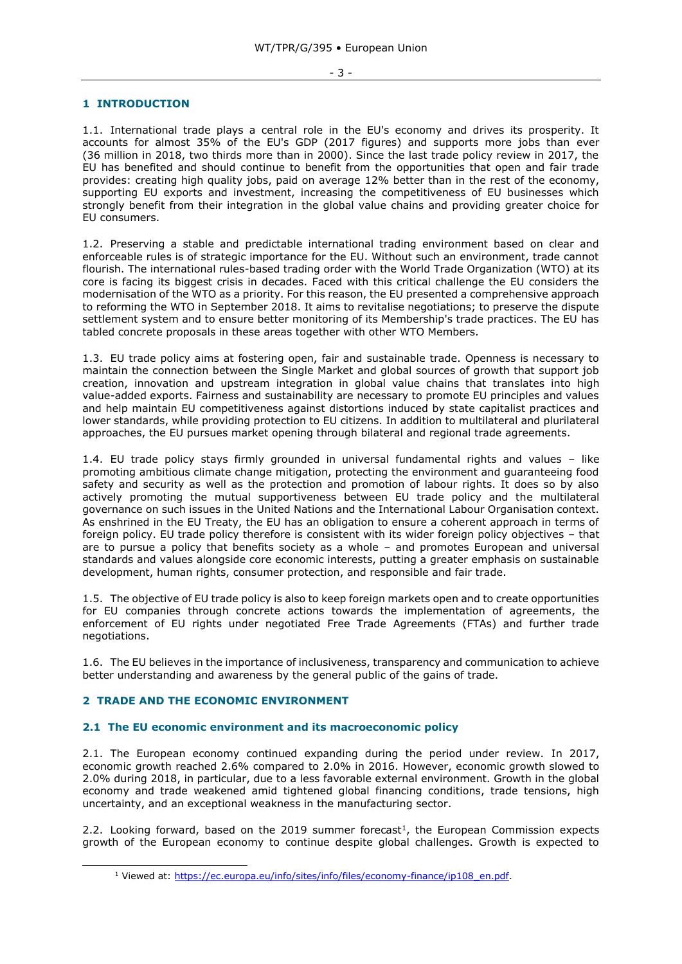#### <span id="page-2-0"></span>**1 INTRODUCTION**

1.1. International trade plays a central role in the EU's economy and drives its prosperity. It accounts for almost 35% of the EU's GDP (2017 figures) and supports more jobs than ever (36 million in 2018, two thirds more than in 2000). Since the last trade policy review in 2017, the EU has benefited and should continue to benefit from the opportunities that open and fair trade provides: creating high quality jobs, paid on average 12% better than in the rest of the economy, supporting EU exports and investment, increasing the competitiveness of EU businesses which strongly benefit from their integration in the global value chains and providing greater choice for EU consumers.

1.2. Preserving a stable and predictable international trading environment based on clear and enforceable rules is of strategic importance for the EU. Without such an environment, trade cannot flourish. The international rules-based trading order with the World Trade Organization (WTO) at its core is facing its biggest crisis in decades. Faced with this critical challenge the EU considers the modernisation of the WTO as a priority. For this reason, the EU presented a comprehensive approach to reforming the WTO in September 2018. It aims to revitalise negotiations; to preserve the dispute settlement system and to ensure better monitoring of its Membership's trade practices. The EU has tabled concrete proposals in these areas together with other WTO Members.

1.3. EU trade policy aims at fostering open, fair and sustainable trade. Openness is necessary to maintain the connection between the Single Market and global sources of growth that support job creation, innovation and upstream integration in global value chains that translates into high value-added exports. Fairness and sustainability are necessary to promote EU principles and values and help maintain EU competitiveness against distortions induced by state capitalist practices and lower standards, while providing protection to EU citizens. In addition to multilateral and plurilateral approaches, the EU pursues market opening through bilateral and regional trade agreements.

1.4. EU trade policy stays firmly grounded in universal fundamental rights and values – like promoting ambitious climate change mitigation, protecting the environment and guaranteeing food safety and security as well as the protection and promotion of labour rights. It does so by also actively promoting the mutual supportiveness between EU trade policy and the multilateral governance on such issues in the United Nations and the International Labour Organisation context. As enshrined in the EU Treaty, the EU has an obligation to ensure a coherent approach in terms of foreign policy. EU trade policy therefore is consistent with its wider foreign policy objectives – that are to pursue a policy that benefits society as a whole – and promotes European and universal standards and values alongside core economic interests, putting a greater emphasis on sustainable development, human rights, consumer protection, and responsible and fair trade.

1.5. The objective of EU trade policy is also to keep foreign markets open and to create opportunities for EU companies through concrete actions towards the implementation of agreements, the enforcement of EU rights under negotiated Free Trade Agreements (FTAs) and further trade negotiations.

1.6. The EU believes in the importance of inclusiveness, transparency and communication to achieve better understanding and awareness by the general public of the gains of trade.

#### <span id="page-2-1"></span>**2 TRADE AND THE ECONOMIC ENVIRONMENT**

-

#### <span id="page-2-2"></span>**2.1 The EU economic environment and its macroeconomic policy**

2.1. The European economy continued expanding during the period under review. In 2017, economic growth reached 2.6% compared to 2.0% in 2016. However, economic growth slowed to 2.0% during 2018, in particular, due to a less favorable external environment. Growth in the global economy and trade weakened amid tightened global financing conditions, trade tensions, high uncertainty, and an exceptional weakness in the manufacturing sector.

2.2. Looking forward, based on the 2019 summer forecast<sup>1</sup>, the European Commission expects growth of the European economy to continue despite global challenges. Growth is expected to

<sup>&</sup>lt;sup>1</sup> Viewed at: [https://ec.europa.eu/info/sites/info/files/economy-finance/ip108\\_en.pdf.](https://ec.europa.eu/info/sites/info/files/economy-finance/ip108_en.pdf)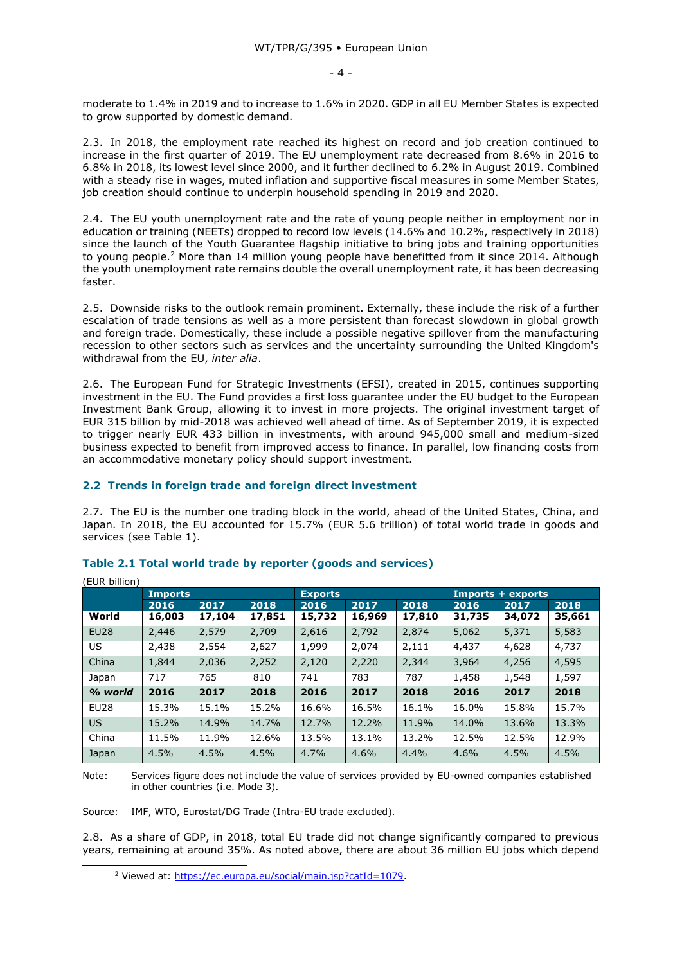moderate to 1.4% in 2019 and to increase to 1.6% in 2020. GDP in all EU Member States is expected to grow supported by domestic demand.

2.3. In 2018, the employment rate reached its highest on record and job creation continued to increase in the first quarter of 2019. The EU unemployment rate decreased from 8.6% in 2016 to 6.8% in 2018, its lowest level since 2000, and it further declined to 6.2% in August 2019. Combined with a steady rise in wages, muted inflation and supportive fiscal measures in some Member States, job creation should continue to underpin household spending in 2019 and 2020.

2.4. The EU youth unemployment rate and the rate of young people neither in employment nor in education or training (NEETs) dropped to record low levels (14.6% and 10.2%, respectively in 2018) since the launch of the Youth Guarantee flagship initiative to bring jobs and training opportunities to young people.<sup>2</sup> More than 14 million young people have benefitted from it since 2014. Although the youth unemployment rate remains double the overall unemployment rate, it has been decreasing faster.

2.5. Downside risks to the outlook remain prominent. Externally, these include the risk of a further escalation of trade tensions as well as a more persistent than forecast slowdown in global growth and foreign trade. Domestically, these include a possible negative spillover from the manufacturing recession to other sectors such as services and the uncertainty surrounding the United Kingdom's withdrawal from the EU, *inter alia*.

2.6. The European Fund for Strategic Investments (EFSI), created in 2015, continues supporting investment in the EU. The Fund provides a first loss guarantee under the EU budget to the European Investment Bank Group, allowing it to invest in more projects. The original investment target of EUR 315 billion by mid-2018 was achieved well ahead of time. As of September 2019, it is expected to trigger nearly EUR 433 billion in investments, with around 945,000 small and medium-sized business expected to benefit from improved access to finance. In parallel, low financing costs from an accommodative monetary policy should support investment.

## <span id="page-3-0"></span>**2.2 Trends in foreign trade and foreign direct investment**

2.7. The EU is the number one trading block in the world, ahead of the United States, China, and Japan. In 2018, the EU accounted for 15.7% (EUR 5.6 trillion) of total world trade in goods and services (see Table 1).

| (EUR billion)    |                |        |        |                |        |        |                   |        |        |
|------------------|----------------|--------|--------|----------------|--------|--------|-------------------|--------|--------|
|                  | <b>Imports</b> |        |        | <b>Exports</b> |        |        | Imports + exports |        |        |
|                  | 2016           | 2017   | 2018   | 2016           | 2017   | 2018   | 2016              | 2017   | 2018   |
| World            | 16,003         | 17,104 | 17,851 | 15,732         | 16,969 | 17,810 | 31,735            | 34,072 | 35,661 |
| <b>EU28</b>      | 2,446          | 2,579  | 2,709  | 2,616          | 2,792  | 2,874  | 5,062             | 5,371  | 5,583  |
| US               | 2,438          | 2,554  | 2,627  | 1,999          | 2,074  | 2,111  | 4,437             | 4,628  | 4,737  |
| China            | 1,844          | 2,036  | 2,252  | 2,120          | 2,220  | 2,344  | 3,964             | 4,256  | 4,595  |
| Japan            | 717            | 765    | 810    | 741            | 783    | 787    | 1,458             | 1,548  | 1,597  |
| % world          | 2016           | 2017   | 2018   | 2016           | 2017   | 2018   | 2016              | 2017   | 2018   |
| EU <sub>28</sub> | 15.3%          | 15.1%  | 15.2%  | 16.6%          | 16.5%  | 16.1%  | 16.0%             | 15.8%  | 15.7%  |
| <b>US</b>        | 15.2%          | 14.9%  | 14.7%  | 12.7%          | 12.2%  | 11.9%  | 14.0%             | 13.6%  | 13.3%  |
| China            | 11.5%          | 11.9%  | 12.6%  | 13.5%          | 13.1%  | 13.2%  | 12.5%             | 12.5%  | 12.9%  |
| Japan            | 4.5%           | 4.5%   | 4.5%   | 4.7%           | 4.6%   | 4.4%   | 4.6%              | 4.5%   | 4.5%   |

## **Table 2.1 Total world trade by reporter (goods and services)**

Note: Services figure does not include the value of services provided by EU-owned companies established in other countries (i.e. Mode 3).

Source: IMF, WTO, Eurostat/DG Trade (Intra-EU trade excluded).

-

2.8. As a share of GDP, in 2018, total EU trade did not change significantly compared to previous years, remaining at around 35%. As noted above, there are about 36 million EU jobs which depend

<sup>&</sup>lt;sup>2</sup> Viewed at: [https://ec.europa.eu/social/main.jsp?catId=1079.](https://ec.europa.eu/social/main.jsp?catId=1079)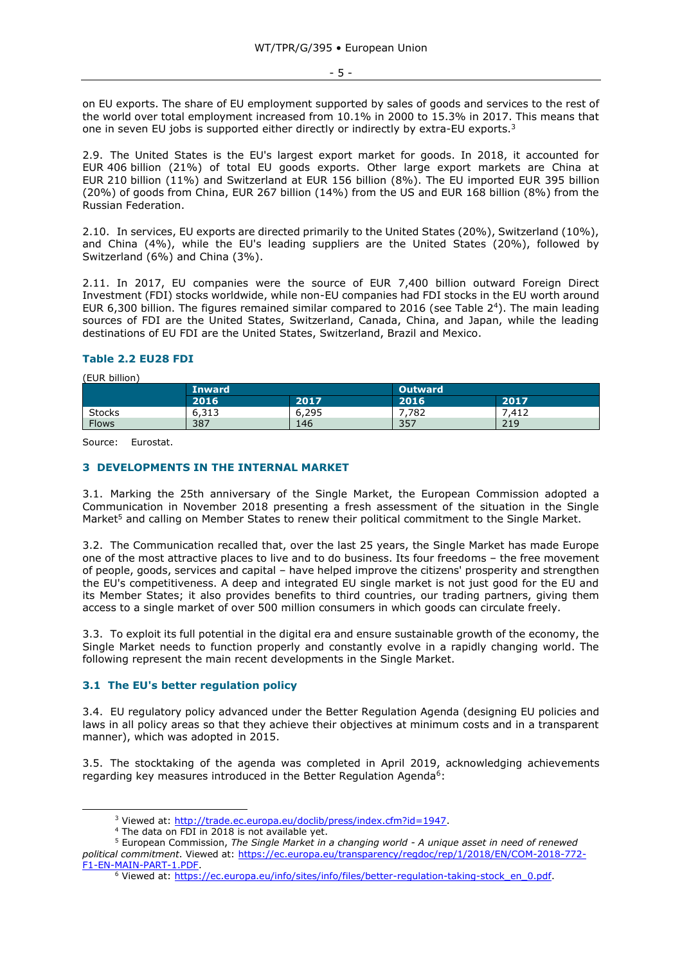on EU exports. The share of EU employment supported by sales of goods and services to the rest of the world over total employment increased from 10.1% in 2000 to 15.3% in 2017. This means that one in seven EU jobs is supported either directly or indirectly by extra-EU exports.<sup>3</sup>

2.9. The United States is the EU's largest export market for goods. In 2018, it accounted for EUR 406 billion (21%) of total EU goods exports. Other large export markets are China at EUR 210 billion (11%) and Switzerland at EUR 156 billion (8%). The EU imported EUR 395 billion (20%) of goods from China, EUR 267 billion (14%) from the US and EUR 168 billion (8%) from the Russian Federation.

2.10. In services, EU exports are directed primarily to the United States (20%), Switzerland (10%), and China (4%), while the EU's leading suppliers are the United States (20%), followed by Switzerland (6%) and China (3%).

2.11. In 2017, EU companies were the source of EUR 7,400 billion outward Foreign Direct Investment (FDI) stocks worldwide, while non-EU companies had FDI stocks in the EU worth around EUR 6,300 billion. The figures remained similar compared to 2016 (see Table 2<sup>4</sup>). The main leading sources of FDI are the United States, Switzerland, Canada, China, and Japan, while the leading destinations of EU FDI are the United States, Switzerland, Brazil and Mexico.

#### **Table 2.2 EU28 FDI**

(EUR billion)

-

|               | <b>Inward</b> |       | <b>Outward</b> |       |  |
|---------------|---------------|-------|----------------|-------|--|
|               | 2016          | 2017  | 2016           | 2017  |  |
| <b>Stocks</b> | 6,313         | 6,295 | 782.'          | 7.412 |  |
| <b>Flows</b>  | 387           | 146   | 357            | 219   |  |

Source: Eurostat.

#### <span id="page-4-0"></span>**3 DEVELOPMENTS IN THE INTERNAL MARKET**

3.1. Marking the 25th anniversary of the Single Market, the European Commission adopted a Communication in November 2018 presenting a fresh assessment of the situation in the Single Market<sup>5</sup> and calling on Member States to renew their political commitment to the Single Market.

3.2. The Communication recalled that, over the last 25 years, the Single Market has made Europe one of the most attractive places to live and to do business. Its four freedoms – the free movement of people, goods, services and capital – have helped improve the citizens' prosperity and strengthen the EU's competitiveness. A deep and integrated EU single market is not just good for the EU and its Member States; it also provides benefits to third countries, our trading partners, giving them access to a single market of over 500 million consumers in which goods can circulate freely.

3.3. To exploit its full potential in the digital era and ensure sustainable growth of the economy, the Single Market needs to function properly and constantly evolve in a rapidly changing world. The following represent the main recent developments in the Single Market.

## <span id="page-4-1"></span>**3.1 The EU's better regulation policy**

3.4. EU regulatory policy advanced under the Better Regulation Agenda (designing EU policies and laws in all policy areas so that they achieve their objectives at minimum costs and in a transparent manner), which was adopted in 2015.

3.5. The stocktaking of the agenda was completed in April 2019, acknowledging achievements regarding key measures introduced in the Better Regulation Agenda<sup>6</sup>:

<sup>&</sup>lt;sup>3</sup> Viewed at: [http://trade.ec.europa.eu/doclib/press/index.cfm?id=1947.](http://trade.ec.europa.eu/doclib/press/index.cfm?id=1947)

<sup>4</sup> The data on FDI in 2018 is not available yet.

<sup>5</sup> European Commission, *The Single Market in a changing world - A unique asset in need of renewed political commitment*. Viewed at: [https://ec.europa.eu/transparency/regdoc/rep/1/2018/EN/COM-2018-772-](https://ec.europa.eu/transparency/regdoc/rep/1/2018/EN/COM-2018-772-F1-EN-MAIN-PART-1.PDF) [F1-EN-MAIN-PART-1.PDF.](https://ec.europa.eu/transparency/regdoc/rep/1/2018/EN/COM-2018-772-F1-EN-MAIN-PART-1.PDF)

<sup>&</sup>lt;sup>6</sup> Viewed at: [https://ec.europa.eu/info/sites/info/files/better-regulation-taking-stock\\_en\\_0.pdf.](https://ec.europa.eu/info/sites/info/files/better-regulation-taking-stock_en_0.pdf)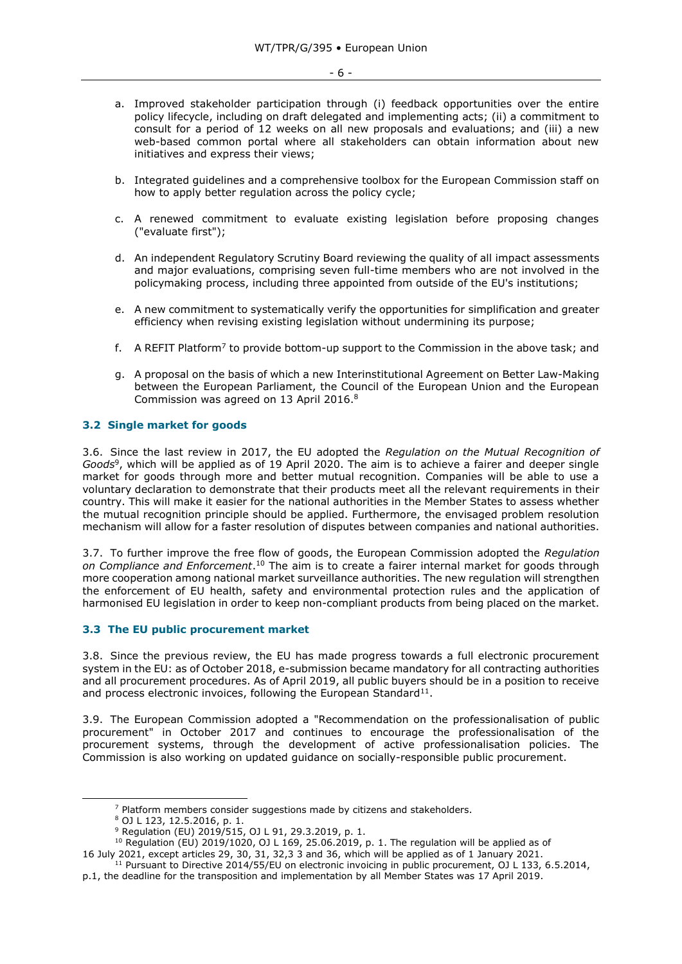- a. Improved stakeholder participation through (i) feedback opportunities over the entire policy lifecycle, including on draft delegated and implementing acts; (ii) a commitment to consult for a period of 12 weeks on all new proposals and evaluations; and (iii) a new web-based common portal where all stakeholders can obtain information about new initiatives and express their views;
- b. Integrated guidelines and a comprehensive toolbox for the European Commission staff on how to apply better regulation across the policy cycle;
- c. A renewed commitment to evaluate existing legislation before proposing changes ("evaluate first");
- d. An independent Regulatory Scrutiny Board reviewing the quality of all impact assessments and major evaluations, comprising seven full-time members who are not involved in the policymaking process, including three appointed from outside of the EU's institutions;
- e. A new commitment to systematically verify the opportunities for simplification and greater efficiency when revising existing legislation without undermining its purpose;
- f. A REFIT Platform<sup>7</sup> to provide bottom-up support to the Commission in the above task; and
- g. A proposal on the basis of which a new Interinstitutional Agreement on Better Law-Making between the European Parliament, the Council of the European Union and the European Commission was agreed on 13 April 2016.<sup>8</sup>

#### <span id="page-5-0"></span>**3.2 Single market for goods**

3.6. Since the last review in 2017, the EU adopted the *Regulation on the Mutual Recognition of Goods*<sup>9</sup> , which will be applied as of 19 April 2020. The aim is to achieve a fairer and deeper single market for goods through more and better mutual recognition. Companies will be able to use a voluntary declaration to demonstrate that their products meet all the relevant requirements in their country. This will make it easier for the national authorities in the Member States to assess whether the mutual recognition principle should be applied. Furthermore, the envisaged problem resolution mechanism will allow for a faster resolution of disputes between companies and national authorities.

3.7. To further improve the free flow of goods, the European Commission adopted the *Regulation on Compliance and Enforcement*. <sup>10</sup> The aim is to create a fairer internal market for goods through more cooperation among national market surveillance authorities. The new regulation will strengthen the enforcement of EU health, safety and environmental protection rules and the application of harmonised EU legislation in order to keep non-compliant products from being placed on the market.

#### <span id="page-5-1"></span>**3.3 The EU public procurement market**

3.8. Since the previous review, the EU has made progress towards a full electronic procurement system in the EU: as of October 2018, e-submission became mandatory for all contracting authorities and all procurement procedures. As of April 2019, all public buyers should be in a position to receive and process electronic invoices, following the European Standard $^{11}$ .

3.9. The European Commission adopted a "Recommendation on the professionalisation of public procurement" in October 2017 and continues to encourage the professionalisation of the procurement systems, through the development of active professionalisation policies. The Commission is also working on updated guidance on socially-responsible public procurement.

 $7$  Platform members consider suggestions made by citizens and stakeholders.

<sup>8</sup> OJ L 123, 12.5.2016, p. 1.

<sup>9</sup> Regulation (EU) 2019/515, OJ L 91, 29.3.2019, p. 1.

 $10$  Regulation (EU) 2019/1020, OJ L 169, 25.06.2019, p. 1. The regulation will be applied as of 16 July 2021, except articles 29, 30, 31, 32,3 3 and 36, which will be applied as of 1 January 2021.

<sup>&</sup>lt;sup>11</sup> Pursuant to Directive 2014/55/EU on electronic invoicing in public procurement, OJ L 133, 6.5.2014,

p.1, the deadline for the transposition and implementation by all Member States was 17 April 2019.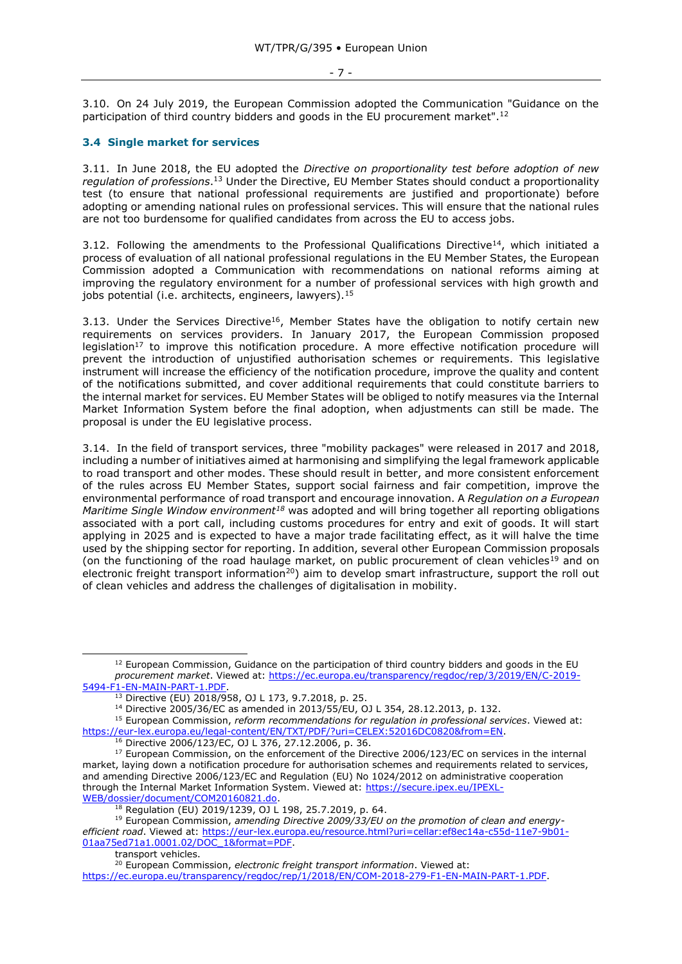#### - 7 -

3.10. On 24 July 2019, the European Commission adopted the Communication "Guidance on the participation of third country bidders and goods in the EU procurement market".<sup>12</sup>

## <span id="page-6-0"></span>**3.4 Single market for services**

3.11. In June 2018, the EU adopted the *Directive on proportionality test before adoption of new regulation of professions*. <sup>13</sup> Under the Directive, EU Member States should conduct a proportionality test (to ensure that national professional requirements are justified and proportionate) before adopting or amending national rules on professional services. This will ensure that the national rules are not too burdensome for qualified candidates from across the EU to access jobs.

3.12. Following the amendments to the Professional Qualifications Directive<sup>14</sup>, which initiated a process of evaluation of all national professional regulations in the EU Member States, the European Commission adopted a Communication with recommendations on national reforms aiming at improving the regulatory environment for a number of professional services with high growth and jobs potential (i.e. architects, engineers, lawyers).<sup>15</sup>

3.13. Under the Services Directive<sup>16</sup>, Member States have the obligation to notify certain new requirements on services providers. In January 2017, the European Commission proposed legislation<sup>17</sup> to improve this notification procedure. A more effective notification procedure will prevent the introduction of unjustified authorisation schemes or requirements. This legislative instrument will increase the efficiency of the notification procedure, improve the quality and content of the notifications submitted, and cover additional requirements that could constitute barriers to the internal market for services. EU Member States will be obliged to notify measures via the Internal Market Information System before the final adoption, when adjustments can still be made. The proposal is under the EU legislative process.

3.14. In the field of transport services, three "mobility packages" were released in 2017 and 2018, including a number of initiatives aimed at harmonising and simplifying the legal framework applicable to road transport and other modes. These should result in better, and more consistent enforcement of the rules across EU Member States, support social fairness and fair competition, improve the environmental performance of road transport and encourage innovation. A *Regulation on a European Maritime Single Window environment<sup>18</sup>* was adopted and will bring together all reporting obligations associated with a port call, including customs procedures for entry and exit of goods. It will start applying in 2025 and is expected to have a major trade facilitating effect, as it will halve the time used by the shipping sector for reporting. In addition, several other European Commission proposals (on the functioning of the road haulage market, on public procurement of clean vehicles<sup>19</sup> and on electronic freight transport information<sup>20</sup>) aim to develop smart infrastructure, support the roll out of clean vehicles and address the challenges of digitalisation in mobility.

 $12$  European Commission, Guidance on the participation of third country bidders and goods in the EU *procurement market*. Viewed at: [https://ec.europa.eu/transparency/regdoc/rep/3/2019/EN/C-2019-](https://ec.europa.eu/transparency/regdoc/rep/3/2019/EN/C-2019-5494-F1-EN-MAIN-PART-1.PDF) [5494-F1-EN-MAIN-PART-1.PDF.](https://ec.europa.eu/transparency/regdoc/rep/3/2019/EN/C-2019-5494-F1-EN-MAIN-PART-1.PDF)

<sup>13</sup> Directive (EU) 2018/958, OJ L 173, 9.7.2018, p. 25.

<sup>14</sup> Directive 2005/36/EC as amended in 2013/55/EU, OJ L 354, 28.12.2013, p. 132.

<sup>15</sup> European Commission, *reform recommendations for regulation in professional services*. Viewed at: [https://eur-lex.europa.eu/legal-content/EN/TXT/PDF/?uri=CELEX:52016DC0820&from=EN.](https://eur-lex.europa.eu/legal-content/EN/TXT/PDF/?uri=CELEX:52016DC0820&from=EN)

<sup>16</sup> Directive 2006/123/EC, OJ L 376, 27.12.2006, p. 36.

<sup>&</sup>lt;sup>17</sup> European Commission, on the enforcement of the Directive 2006/123/EC on services in the internal market, laying down a notification procedure for authorisation schemes and requirements related to services, and amending Directive 2006/123/EC and Regulation (EU) No 1024/2012 on administrative cooperation through the Internal Market Information System. Viewed at: [https://secure.ipex.eu/IPEXL-](https://secure.ipex.eu/IPEXL-WEB/dossier/document/COM20160821.do)[WEB/dossier/document/COM20160821.do.](https://secure.ipex.eu/IPEXL-WEB/dossier/document/COM20160821.do)

**<sup>18</sup>** Regulation (EU) 2019/1239, OJ L 198, 25.7.2019, p. 64.

<sup>19</sup> European Commission, *amending Directive 2009/33/EU on the promotion of clean and energyefficient road*. Viewed at: [https://eur-lex.europa.eu/resource.html?uri=cellar:ef8ec14a-c55d-11e7-9b01-](https://eur-lex.europa.eu/resource.html?uri=cellar:ef8ec14a-c55d-11e7-9b01-01aa75ed71a1.0001.02/DOC_1&format=PDF)

[<sup>01</sup>aa75ed71a1.0001.02/DOC\\_1&format=PDF.](https://eur-lex.europa.eu/resource.html?uri=cellar:ef8ec14a-c55d-11e7-9b01-01aa75ed71a1.0001.02/DOC_1&format=PDF)

transport vehicles.

<sup>20</sup> European Commission, *electronic freight transport information*. Viewed at: [https://ec.europa.eu/transparency/regdoc/rep/1/2018/EN/COM-2018-279-F1-EN-MAIN-PART-1.PDF.](https://ec.europa.eu/transparency/regdoc/rep/1/2018/EN/COM-2018-279-F1-EN-MAIN-PART-1.PDF)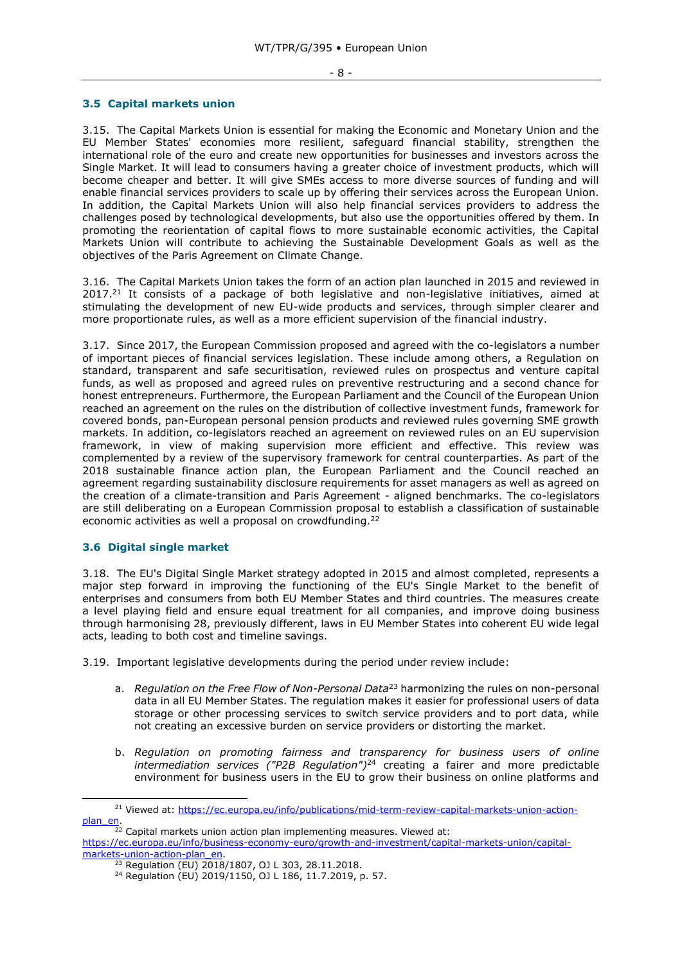#### <span id="page-7-0"></span>**3.5 Capital markets union**

3.15. The Capital Markets Union is essential for making the Economic and Monetary Union and the EU Member States' economies more resilient, safeguard financial stability, strengthen the international role of the euro and create new opportunities for businesses and investors across the Single Market. It will lead to consumers having a greater choice of investment products, which will become cheaper and better. It will give SMEs access to more diverse sources of funding and will enable financial services providers to scale up by offering their services across the European Union. In addition, the Capital Markets Union will also help financial services providers to address the challenges posed by technological developments, but also use the opportunities offered by them. In promoting the reorientation of capital flows to more sustainable economic activities, the Capital Markets Union will contribute to achieving the Sustainable Development Goals as well as the objectives of the Paris Agreement on Climate Change.

3.16. The Capital Markets Union takes the form of an action plan launched in 2015 and reviewed in 2017.<sup>21</sup> It consists of a package of both legislative and non-legislative initiatives, aimed at stimulating the development of new EU-wide products and services, through simpler clearer and more proportionate rules, as well as a more efficient supervision of the financial industry.

3.17. Since 2017, the European Commission proposed and agreed with the co-legislators a number of important pieces of financial services legislation. These include among others, a Regulation on standard, transparent and safe securitisation, reviewed rules on prospectus and venture capital funds, as well as proposed and agreed rules on preventive restructuring and a second chance for honest entrepreneurs. Furthermore, the European Parliament and the Council of the European Union reached an agreement on the rules on the distribution of collective investment funds, framework for covered bonds, pan-European personal pension products and reviewed rules governing SME growth markets. In addition, co-legislators reached an agreement on reviewed rules on an EU supervision framework, in view of making supervision more efficient and effective. This review was complemented by a review of the supervisory framework for central counterparties. As part of the 2018 sustainable finance action plan, the European Parliament and the Council reached an agreement regarding sustainability disclosure requirements for asset managers as well as agreed on the creation of a climate-transition and Paris Agreement - aligned benchmarks. The co-legislators are still deliberating on a European Commission proposal to establish a classification of sustainable economic activities as well a proposal on crowdfunding.<sup>22</sup>

## <span id="page-7-1"></span>**3.6 Digital single market**

-

3.18. The EU's Digital Single Market strategy adopted in 2015 and almost completed, represents a major step forward in improving the functioning of the EU's Single Market to the benefit of enterprises and consumers from both EU Member States and third countries. The measures create a level playing field and ensure equal treatment for all companies, and improve doing business through harmonising 28, previously different, laws in EU Member States into coherent EU wide legal acts, leading to both cost and timeline savings.

3.19. Important legislative developments during the period under review include:

- a. *Regulation on the Free Flow of Non-Personal Data*<sup>23</sup> harmonizing the rules on non-personal data in all EU Member States. The regulation makes it easier for professional users of data storage or other processing services to switch service providers and to port data, while not creating an excessive burden on service providers or distorting the market.
- b. *Regulation on promoting fairness and transparency for business users of online intermediation services ("P2B Regulation")*<sup>24</sup> creating a fairer and more predictable environment for business users in the EU to grow their business on online platforms and

<sup>&</sup>lt;sup>21</sup> Viewed at: [https://ec.europa.eu/info/publications/mid-term-review-capital-markets-union-action](https://ec.europa.eu/info/publications/mid-term-review-capital-markets-union-action-plan_en)[plan\\_en.](https://ec.europa.eu/info/publications/mid-term-review-capital-markets-union-action-plan_en)

 $22$  Capital markets union action plan implementing measures. Viewed at:

[https://ec.europa.eu/info/business-economy-euro/growth-and-investment/capital-markets-union/capital](https://ec.europa.eu/info/business-economy-euro/growth-and-investment/capital-markets-union/capital-markets-union-action-plan_en)[markets-union-action-plan\\_en.](https://ec.europa.eu/info/business-economy-euro/growth-and-investment/capital-markets-union/capital-markets-union-action-plan_en)

<sup>&</sup>lt;sup>23</sup> Regulation (EU) 2018/1807, OJ L 303, 28.11.2018.

<sup>24</sup> Regulation (EU) 2019/1150, OJ L 186, 11.7.2019, p. 57.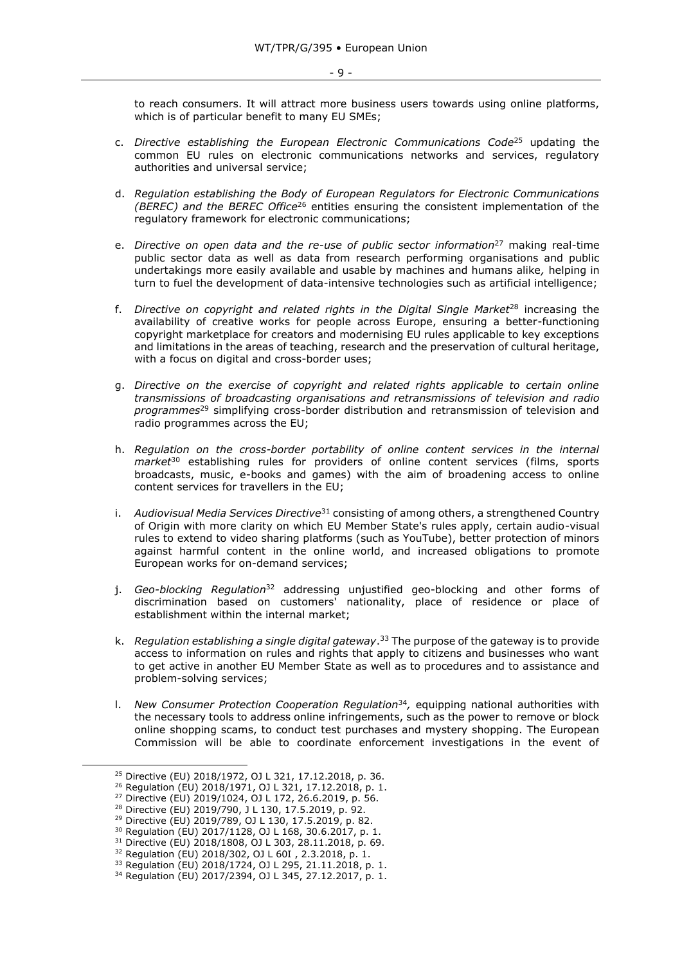to reach consumers. It will attract more business users towards using online platforms, which is of particular benefit to many EU SMEs;

- c. *Directive establishing the European Electronic Communications Code*<sup>25</sup> updating the common EU rules on electronic communications networks and services, regulatory authorities and universal service;
- d. *Regulation establishing the Body of European Regulators for Electronic Communications (BEREC) and the BEREC Office*<sup>26</sup> entities ensuring the consistent implementation of the regulatory framework for electronic communications;
- e. *Directive on open data and the re-use of public sector information<sup>27</sup> making real-time* public sector data as well as data from research performing organisations and public undertakings more easily available and usable by machines and humans alike*,* helping in turn to fuel the development of data-intensive technologies such as artificial intelligence;
- f. *Directive on copyright and related rights in the Digital Single Market*<sup>28</sup> increasing the availability of creative works for people across Europe, ensuring a better-functioning copyright marketplace for creators and modernising EU rules applicable to key exceptions and limitations in the areas of teaching, research and the preservation of cultural heritage, with a focus on digital and cross-border uses;
- g. *Directive on the exercise of copyright and related rights applicable to certain online transmissions of broadcasting organisations and retransmissions of television and radio programmes*<sup>29</sup> simplifying cross-border distribution and retransmission of television and radio programmes across the EU;
- h. *Regulation on the cross-border portability of online content services in the internal market*<sup>30</sup> establishing rules for providers of online content services (films, sports broadcasts, music, e-books and games) with the aim of broadening access to online content services for travellers in the EU;
- i. *Audiovisual Media Services Directive*<sup>31</sup> consisting of among others, a strengthened Country of Origin with more clarity on which EU Member State's rules apply, certain audio-visual rules to extend to video sharing platforms (such as YouTube), better protection of minors against harmful content in the online world, and increased obligations to promote European works for on-demand services;
- j. *Geo-blocking Regulation*<sup>32</sup> addressing unjustified geo-blocking and other forms of discrimination based on customers' nationality, place of residence or place of establishment within the internal market;
- k. *Regulation establishing a single digital gateway*. <sup>33</sup> The purpose of the gateway is to provide access to information on rules and rights that apply to citizens and businesses who want to get active in another EU Member State as well as to procedures and to assistance and problem-solving services;
- l. *New Consumer Protection Cooperation Regulation*<sup>34</sup> *,* equipping national authorities with the necessary tools to address online infringements, such as the power to remove or block online shopping scams, to conduct test purchases and mystery shopping. The European Commission will be able to coordinate enforcement investigations in the event of

-

<sup>30</sup> Regulation (EU) 2017/1128, OJ L 168, 30.6.2017, p. 1.

<sup>25</sup> Directive (EU) 2018/1972, OJ L 321, 17.12.2018, p. 36.

<sup>26</sup> Regulation (EU) 2018/1971, OJ L 321, 17.12.2018, p. 1.

<sup>27</sup> Directive (EU) 2019/1024, OJ L 172, 26.6.2019, p. 56.

<sup>28</sup> Directive (EU) 2019/790, J L 130, 17.5.2019, p. 92.

<sup>29</sup> Directive (EU) 2019/789, OJ L 130, 17.5.2019, p. 82.

<sup>31</sup> Directive (EU) 2018/1808, OJ L 303, 28.11.2018, p. 69.

<sup>32</sup> Regulation (EU) 2018/302, OJ L 60I , 2.3.2018, p. 1.

<sup>33</sup> Regulation (EU) 2018/1724, OJ L 295, 21.11.2018, p. 1.

<sup>34</sup> Regulation (EU) 2017/2394, OJ L 345, 27.12.2017, p. 1.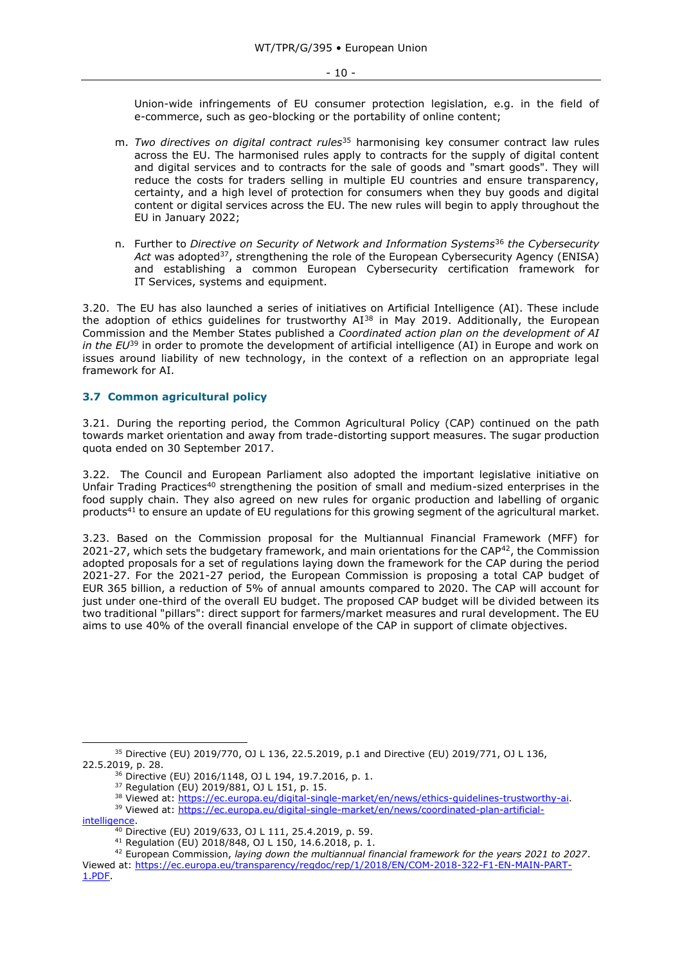Union-wide infringements of EU consumer protection legislation, e.g. in the field of e-commerce, such as geo-blocking or the portability of online content;

- m. *Two directives on digital contract rules*<sup>35</sup> harmonising key consumer contract law rules across the EU. The harmonised rules apply to contracts for the supply of digital content and digital services and to contracts for the sale of goods and "smart goods". They will reduce the costs for traders selling in multiple EU countries and ensure transparency, certainty, and a high level of protection for consumers when they buy goods and digital content or digital services across the EU. The new rules will begin to apply throughout the EU in January 2022;
- n. Further to *Directive on Security of Network and Information Systems*<sup>36</sup> *the Cybersecurity*  Act was adopted<sup>37</sup>, strengthening the role of the European Cybersecurity Agency (ENISA) and establishing a common European Cybersecurity certification framework for IT Services, systems and equipment.

3.20. The EU has also launched a series of initiatives on Artificial Intelligence (AI). These include the adoption of ethics quidelines for trustworthy  $AI^{38}$  in May 2019. Additionally, the European Commission and the Member States published a *Coordinated action plan on the development of AI in the EU*<sup>39</sup> in order to promote the development of artificial intelligence (AI) in Europe and work on issues around liability of new technology, in the context of a reflection on an appropriate legal framework for AI.

## <span id="page-9-0"></span>**3.7 Common agricultural policy**

3.21. During the reporting period, the Common Agricultural Policy (CAP) continued on the path towards market orientation and away from trade-distorting support measures. The sugar production quota ended on 30 September 2017.

3.22. The Council and European Parliament also adopted the important legislative initiative on Unfair Trading Practices<sup>40</sup> strengthening the position of small and medium-sized enterprises in the food supply chain. They also agreed on new rules for organic production and labelling of organic products<sup>41</sup> to ensure an update of EU regulations for this growing segment of the agricultural market.

3.23. Based on the Commission proposal for the Multiannual Financial Framework (MFF) for 2021-27, which sets the budgetary framework, and main orientations for the  $CAP^{42}$ , the Commission adopted proposals for a set of regulations laying down the framework for the CAP during the period 2021-27. For the 2021-27 period, the European Commission is proposing a total CAP budget of EUR 365 billion, a reduction of 5% of annual amounts compared to 2020. The CAP will account for just under one-third of the overall EU budget. The proposed CAP budget will be divided between its two traditional "pillars": direct support for farmers/market measures and rural development. The EU aims to use 40% of the overall financial envelope of the CAP in support of climate objectives.

<sup>35</sup> Directive (EU) 2019/770, OJ L 136, 22.5.2019, p.1 and Directive (EU) 2019/771, OJ L 136, 22.5.2019, p. 28.

<sup>36</sup> Directive (EU) 2016/1148, OJ L 194, 19.7.2016, p. 1.

<sup>37</sup> Regulation (EU) 2019/881, OJ L 151, p. 15.

<sup>38</sup> Viewed at: [https://ec.europa.eu/digital-single-market/en/news/ethics-guidelines-trustworthy-ai.](https://ec.europa.eu/digital-single-market/en/news/ethics-guidelines-trustworthy-ai)

<sup>39</sup> Viewed at: [https://ec.europa.eu/digital-single-market/en/news/coordinated-plan-artificial](https://ec.europa.eu/digital-single-market/en/news/coordinated-plan-artificial-intelligence)[intelligence.](https://ec.europa.eu/digital-single-market/en/news/coordinated-plan-artificial-intelligence)

 $\frac{40 \text{ D}}{40 \text{ D}}$  Directive (EU) 2019/633, OJ L 111, 25.4.2019, p. 59.

<sup>41</sup> Regulation (EU) 2018/848, OJ L 150, 14.6.2018, p. 1.

<sup>42</sup> European Commission, *laying down the multiannual financial framework for the years 2021 to 2027*. Viewed at: [https://ec.europa.eu/transparency/regdoc/rep/1/2018/EN/COM-2018-322-F1-EN-MAIN-PART-](https://ec.europa.eu/transparency/regdoc/rep/1/2018/EN/COM-2018-322-F1-EN-MAIN-PART-1.PDF)[1.PDF.](https://ec.europa.eu/transparency/regdoc/rep/1/2018/EN/COM-2018-322-F1-EN-MAIN-PART-1.PDF)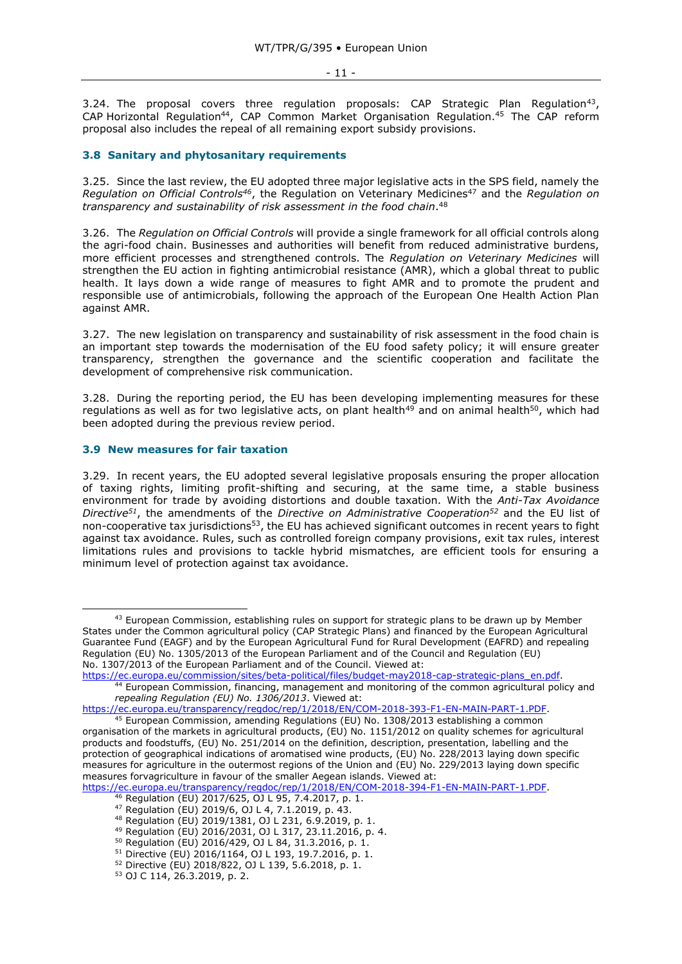#### - 11 -

3.24. The proposal covers three regulation proposals: CAP Strategic Plan Regulation<sup>43</sup>, CAP Horizontal Regulation<sup>44</sup>, CAP Common Market Organisation Regulation.<sup>45</sup> The CAP reform proposal also includes the repeal of all remaining export subsidy provisions.

#### <span id="page-10-0"></span>**3.8 Sanitary and phytosanitary requirements**

3.25. Since the last review, the EU adopted three major legislative acts in the SPS field, namely the *Regulation on Official Controls<sup>46</sup>*, the Regulation on Veterinary Medicines<sup>47</sup> and the *Regulation on transparency and sustainability of risk assessment in the food chain*. 48

3.26. The *Regulation on Official Controls* will provide a single framework for all official controls along the agri-food chain. Businesses and authorities will benefit from reduced administrative burdens, more efficient processes and strengthened controls. The *Regulation on Veterinary Medicines* will strengthen the EU action in fighting antimicrobial resistance (AMR), which a global threat to public health. It lays down a wide range of measures to fight AMR and to promote the prudent and responsible use of antimicrobials, following the approach of the European One Health Action Plan against AMR.

3.27. The new legislation on transparency and sustainability of risk assessment in the food chain is an important step towards the modernisation of the EU food safety policy; it will ensure greater transparency, strengthen the governance and the scientific cooperation and facilitate the development of comprehensive risk communication.

3.28. During the reporting period, the EU has been developing implementing measures for these regulations as well as for two legislative acts, on plant health<sup>49</sup> and on animal health<sup>50</sup>, which had been adopted during the previous review period.

#### <span id="page-10-1"></span>**3.9 New measures for fair taxation**

-

3.29. In recent years, the EU adopted several legislative proposals ensuring the proper allocation of taxing rights, limiting profit-shifting and securing, at the same time, a stable business environment for trade by avoiding distortions and double taxation. With the *Anti-Tax Avoidance Directive<sup>51</sup>*, the amendments of the *Directive on Administrative Cooperation<sup>52</sup>* and the EU list of non-cooperative tax jurisdictions<sup>53</sup>, the EU has achieved significant outcomes in recent years to fight against tax avoidance. Rules, such as controlled foreign company provisions, exit tax rules, interest limitations rules and provisions to tackle hybrid mismatches, are efficient tools for ensuring a minimum level of protection against tax avoidance.

<sup>&</sup>lt;sup>43</sup> European Commission, establishing rules on support for strategic plans to be drawn up by Member States under the Common agricultural policy (CAP Strategic Plans) and financed by the European Agricultural Guarantee Fund (EAGF) and by the European Agricultural Fund for Rural Development (EAFRD) and repealing Regulation (EU) No. 1305/2013 of the European Parliament and of the Council and Regulation (EU) No. 1307/2013 of the European Parliament and of the Council. Viewed at:

[https://ec.europa.eu/commission/sites/beta-political/files/budget-may2018-cap-strategic-plans\\_en.pdf.](https://ec.europa.eu/commission/sites/beta-political/files/budget-may2018-cap-strategic-plans_en.pdf)

<sup>44</sup> European Commission, financing, management and monitoring of the common agricultural policy and *repealing Regulation (EU) No. 1306/2013*. Viewed at:

[https://ec.europa.eu/transparency/regdoc/rep/1/2018/EN/COM-2018-393-F1-EN-MAIN-PART-1.PDF.](https://ec.europa.eu/transparency/regdoc/rep/1/2018/EN/COM-2018-393-F1-EN-MAIN-PART-1.PDF)

<sup>45</sup> European Commission, amending Regulations (EU) No. 1308/2013 establishing a common organisation of the markets in agricultural products, (EU) No. 1151/2012 on quality schemes for agricultural products and foodstuffs, (EU) No. 251/2014 on the definition, description, presentation, labelling and the protection of geographical indications of aromatised wine products, (EU) No. 228/2013 laying down specific measures for agriculture in the outermost regions of the Union and (EU) No. 229/2013 laying down specific measures forvagriculture in favour of the smaller Aegean islands. Viewed at:

[https://ec.europa.eu/transparency/regdoc/rep/1/2018/EN/COM-2018-394-F1-EN-MAIN-PART-1.PDF.](https://ec.europa.eu/transparency/regdoc/rep/1/2018/EN/COM-2018-394-F1-EN-MAIN-PART-1.PDF)

<sup>46</sup> Regulation (EU) 2017/625, OJ L 95, 7.4.2017, p. 1.

<sup>47</sup> Regulation (EU) 2019/6, OJ L 4, 7.1.2019, p. 43.

<sup>48</sup> Regulation (EU) 2019/1381, OJ L 231, 6.9.2019, p. 1.

<sup>49</sup> Regulation (EU) 2016/2031, OJ L 317, 23.11.2016, p. 4.

<sup>50</sup> Regulation (EU) 2016/429, OJ L 84, 31.3.2016, p. 1.

<sup>51</sup> Directive (EU) 2016/1164, OJ L 193, 19.7.2016, p. 1.

<sup>52</sup> Directive (EU) 2018/822, OJ L 139, 5.6.2018, p. 1.

<sup>53</sup> OJ C 114, 26.3.2019, p. 2.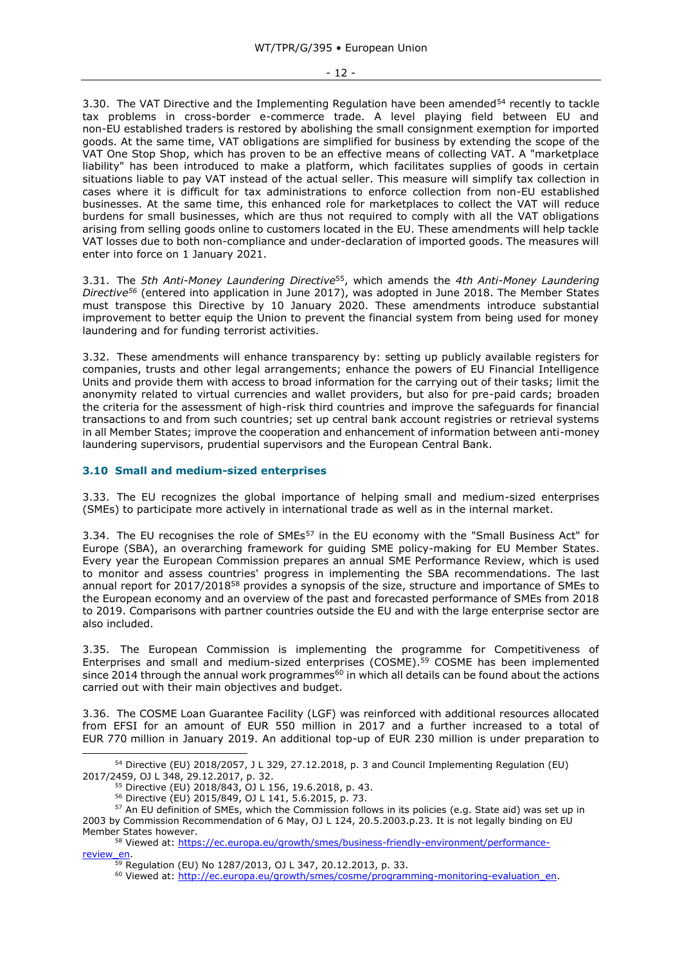3.30. The VAT Directive and the Implementing Regulation have been amended<sup>54</sup> recently to tackle tax problems in cross-border e-commerce trade. A level playing field between EU and non-EU established traders is restored by abolishing the small consignment exemption for imported goods. At the same time, VAT obligations are simplified for business by extending the scope of the VAT One Stop Shop, which has proven to be an effective means of collecting VAT. A "marketplace liability" has been introduced to make a platform, which facilitates supplies of goods in certain situations liable to pay VAT instead of the actual seller. This measure will simplify tax collection in cases where it is difficult for tax administrations to enforce collection from non-EU established businesses. At the same time, this enhanced role for marketplaces to collect the VAT will reduce burdens for small businesses, which are thus not required to comply with all the VAT obligations arising from selling goods online to customers located in the EU. These amendments will help tackle VAT losses due to both non-compliance and under-declaration of imported goods. The measures will enter into force on 1 January 2021.

3.31. The *5th Anti-Money Laundering Directive*<sup>55</sup>, which amends the *4th Anti-Money Laundering Directive<sup>56</sup>* (entered into application in June 2017), was adopted in June 2018. The Member States must transpose this Directive by 10 January 2020. These amendments introduce substantial improvement to better equip the Union to prevent the financial system from being used for money laundering and for funding terrorist activities.

3.32. These amendments will enhance transparency by: setting up publicly available registers for companies, trusts and other legal arrangements; enhance the powers of EU Financial Intelligence Units and provide them with access to broad information for the carrying out of their tasks; limit the anonymity related to virtual currencies and wallet providers, but also for pre-paid cards; broaden the criteria for the assessment of high-risk third countries and improve the safeguards for financial transactions to and from such countries; set up central bank account registries or retrieval systems in all Member States; improve the cooperation and enhancement of information between anti-money laundering supervisors, prudential supervisors and the European Central Bank.

## <span id="page-11-0"></span>**3.10 Small and medium-sized enterprises**

3.33. The EU recognizes the global importance of helping small and medium-sized enterprises (SMEs) to participate more actively in international trade as well as in the internal market.

3.34. The EU recognises the role of SMEs<sup>57</sup> in the EU economy with the "Small Business Act" for Europe (SBA), an overarching framework for guiding SME policy-making for EU Member States. Every year the European Commission prepares an annual SME Performance Review, which is used to monitor and assess countries' progress in implementing the SBA recommendations. The last annual report for 2017/2018<sup>58</sup> provides a synopsis of the size, structure and importance of SMEs to the European economy and an overview of the past and forecasted performance of SMEs from 2018 to 2019. Comparisons with partner countries outside the EU and with the large enterprise sector are also included.

3.35. The European Commission is implementing the programme for Competitiveness of Enterprises and small and medium-sized enterprises (COSME).<sup>59</sup> COSME has been implemented since 2014 through the annual work programmes<sup>60</sup> in which all details can be found about the actions carried out with their main objectives and budget.

3.36. The COSME Loan Guarantee Facility (LGF) was reinforced with additional resources allocated from EFSI for an amount of EUR 550 million in 2017 and a further increased to a total of EUR 770 million in January 2019. An additional top-up of EUR 230 million is under preparation to

 $54$  Directive (EU) 2018/2057, J L 329, 27.12.2018, p. 3 and Council Implementing Regulation (EU) 2017/2459, OJ L 348, 29.12.2017, p. 32.

<sup>55</sup> Directive (EU) 2018/843, OJ L 156, 19.6.2018, p. 43.

<sup>56</sup> Directive (EU) 2015/849, OJ L 141, 5.6.2015, p. 73.

<sup>&</sup>lt;sup>57</sup> An EU definition of SMEs, which the Commission follows in its policies (e.g. State aid) was set up in 2003 by Commission Recommendation of 6 May, OJ L 124, 20.5.2003.p.23. It is not legally binding on EU Member States however.

<sup>&</sup>lt;sup>58</sup> Viewed at: [https://ec.europa.eu/growth/smes/business-friendly-environment/performance-](https://ec.europa.eu/growth/smes/business-friendly-environment/performance-review_en)

[review\\_en.](https://ec.europa.eu/growth/smes/business-friendly-environment/performance-review_en)

 $\frac{59}{59}$  Regulation (EU) No 1287/2013, OJ L 347, 20.12.2013, p. 33.

<sup>&</sup>lt;sup>60</sup> Viewed at: [http://ec.europa.eu/growth/smes/cosme/programming-monitoring-evaluation\\_en.](http://ec.europa.eu/growth/smes/cosme/programming-monitoring-evaluation_en)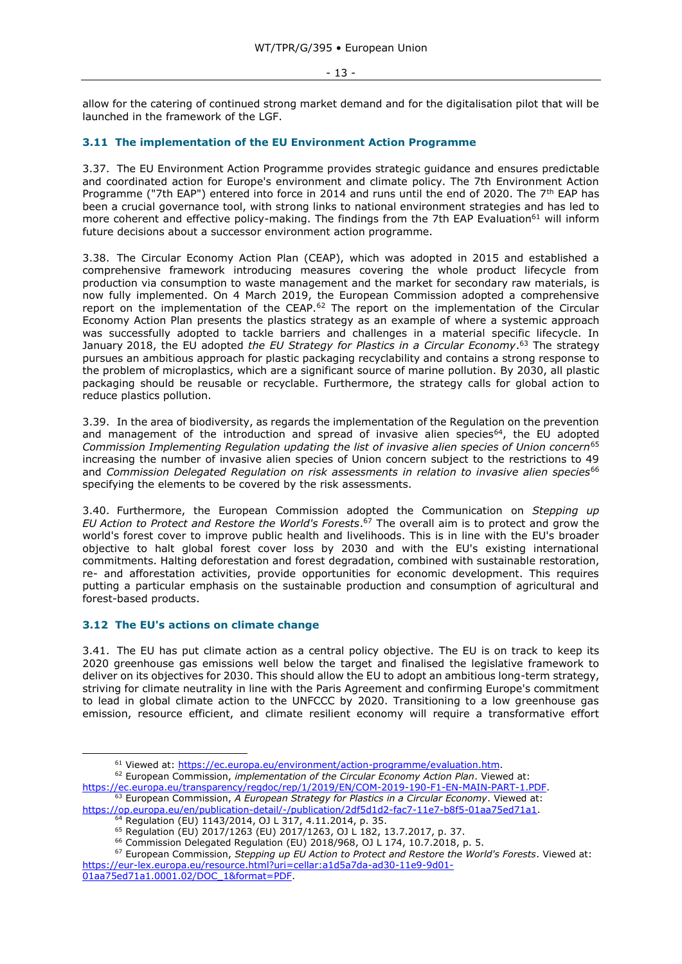allow for the catering of continued strong market demand and for the digitalisation pilot that will be launched in the framework of the LGF.

## <span id="page-12-0"></span>**3.11 The implementation of the EU Environment Action Programme**

3.37. The EU Environment Action Programme provides strategic guidance and ensures predictable and coordinated action for Europe's environment and climate policy. The 7th Environment Action Programme ("7th EAP") entered into force in 2014 and runs until the end of 2020. The 7<sup>th</sup> EAP has been a crucial governance tool, with strong links to national environment strategies and has led to more coherent and effective policy-making. The findings from the 7th EAP Evaluation<sup>61</sup> will inform future decisions about a successor environment action programme.

3.38. The Circular Economy Action Plan (CEAP), which was adopted in 2015 and established a comprehensive framework introducing measures covering the whole product lifecycle from production via consumption to waste management and the market for secondary raw materials, is now fully implemented. On 4 March 2019, the European Commission adopted a comprehensive report on the implementation of the CEAP.<sup>62</sup> The report on the implementation of the Circular Economy Action Plan presents the plastics strategy as an example of where a systemic approach was successfully adopted to tackle barriers and challenges in a material specific lifecycle. In January 2018, the EU adopted *the EU Strategy for Plastics in a Circular Economy*. <sup>63</sup> The strategy pursues an ambitious approach for plastic packaging recyclability and contains a strong response to the problem of microplastics, which are a significant source of marine pollution. By 2030, all plastic packaging should be reusable or recyclable. Furthermore, the strategy calls for global action to reduce plastics pollution.

3.39. In the area of biodiversity, as regards the implementation of the Regulation on the prevention and management of the introduction and spread of invasive alien species<sup>64</sup>, the EU adopted *Commission Implementing Regulation updating the list of invasive alien species of Union concern*<sup>65</sup> increasing the number of invasive alien species of Union concern subject to the restrictions to 49 and *Commission Delegated Regulation on risk assessments in relation to invasive alien species*<sup>66</sup> specifying the elements to be covered by the risk assessments.

3.40. Furthermore, the European Commission adopted the Communication on *Stepping up EU Action to Protect and Restore the World's Forests*. <sup>67</sup> The overall aim is to protect and grow the world's forest cover to improve public health and livelihoods. This is in line with the EU's broader objective to halt global forest cover loss by 2030 and with the EU's existing international commitments. Halting deforestation and forest degradation, combined with sustainable restoration, re- and afforestation activities, provide opportunities for economic development. This requires putting a particular emphasis on the sustainable production and consumption of agricultural and forest-based products.

# <span id="page-12-1"></span>**3.12 The EU's actions on climate change**

3.41. The EU has put climate action as a central policy objective. The EU is on track to keep its 2020 greenhouse gas emissions well below the target and finalised the legislative framework to deliver on its objectives for 2030. This should allow the EU to adopt an ambitious long-term strategy, striving for climate neutrality in line with the Paris Agreement and confirming Europe's commitment to lead in global climate action to the UNFCCC by 2020. Transitioning to a low greenhouse gas emission, resource efficient, and climate resilient economy will require a transformative effort

<sup>61</sup> Viewed at: [https://ec.europa.eu/environment/action-programme/evaluation.htm.](https://ec.europa.eu/environment/action-programme/evaluation.htm)

<sup>62</sup> European Commission, *implementation of the Circular Economy Action Plan*. Viewed at: [https://ec.europa.eu/transparency/regdoc/rep/1/2019/EN/COM-2019-190-F1-EN-MAIN-PART-1.PDF.](https://ec.europa.eu/transparency/regdoc/rep/1/2019/EN/COM-2019-190-F1-EN-MAIN-PART-1.PDF)

<sup>63</sup> European Commission, *A European Strategy for Plastics in a Circular Economy*. Viewed at: [https://op.europa.eu/en/publication-detail/-/publication/2df5d1d2-fac7-11e7-b8f5-01aa75ed71a1.](https://op.europa.eu/en/publication-detail/-/publication/2df5d1d2-fac7-11e7-b8f5-01aa75ed71a1)

<sup>64</sup> Regulation (EU) 1143/2014, OJ L 317, 4.11.2014, p. 35.

<sup>65</sup> Regulation (EU) 2017/1263 (EU) 2017/1263, OJ L 182, 13.7.2017, p. 37.

<sup>66</sup> Commission Delegated Regulation (EU) 2018/968, OJ L 174, 10.7.2018, p. 5.

<sup>67</sup> European Commission, *Stepping up EU Action to Protect and Restore the World's Forests*. Viewed at: [https://eur-lex.europa.eu/resource.html?uri=cellar:a1d5a7da-ad30-11e9-9d01-](https://eur-lex.europa.eu/resource.html?uri=cellar:a1d5a7da-ad30-11e9-9d01-01aa75ed71a1.0001.02/DOC_1&format=PDF)

[<sup>01</sup>aa75ed71a1.0001.02/DOC\\_1&format=PDF.](https://eur-lex.europa.eu/resource.html?uri=cellar:a1d5a7da-ad30-11e9-9d01-01aa75ed71a1.0001.02/DOC_1&format=PDF)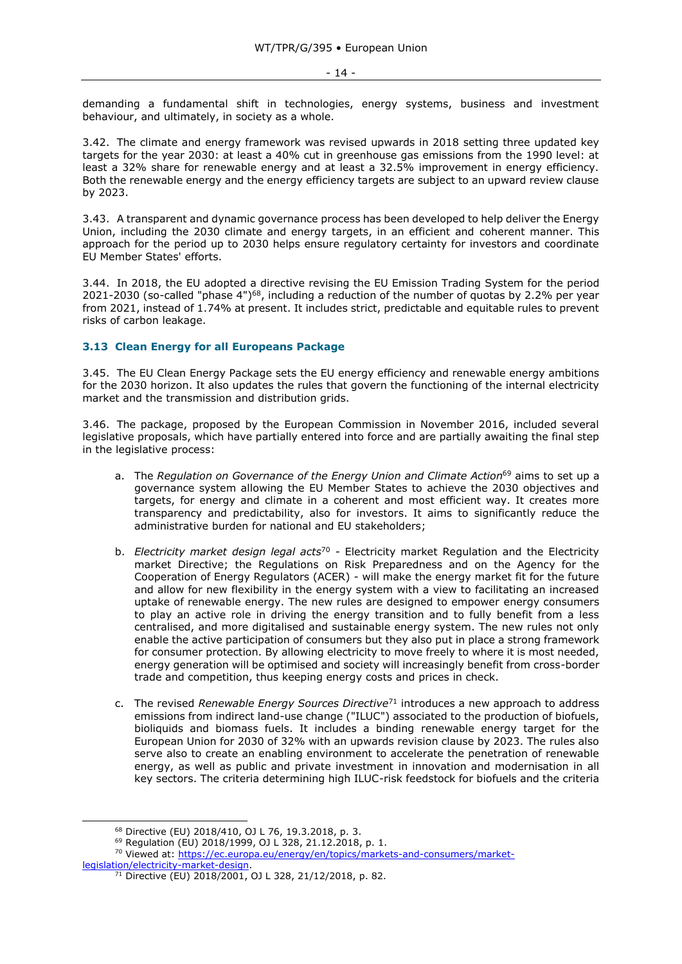demanding a fundamental shift in technologies, energy systems, business and investment behaviour, and ultimately, in society as a whole.

3.42. The climate and energy framework was revised upwards in 2018 setting three updated key targets for the year 2030: at least a 40% cut in greenhouse gas emissions from the 1990 level: at least a 32% share for renewable energy and at least a 32.5% improvement in energy efficiency. Both the renewable energy and the energy efficiency targets are subject to an upward review clause by 2023.

3.43. A transparent and dynamic governance process has been developed to help deliver the Energy Union, including the 2030 climate and energy targets, in an efficient and coherent manner. This approach for the period up to 2030 helps ensure regulatory certainty for investors and coordinate EU Member States' efforts.

3.44. In 2018, the EU adopted a directive revising the EU Emission Trading System for the period 2021-2030 (so-called "phase 4")<sup>68</sup>, including a reduction of the number of quotas by 2.2% per year from 2021, instead of 1.74% at present. It includes strict, predictable and equitable rules to prevent risks of carbon leakage.

## <span id="page-13-0"></span>**3.13 Clean Energy for all Europeans Package**

3.45. The EU Clean Energy Package sets the EU energy efficiency and renewable energy ambitions for the 2030 horizon. It also updates the rules that govern the functioning of the internal electricity market and the transmission and distribution grids.

3.46. The package, proposed by the European Commission in November 2016, included several legislative proposals, which have partially entered into force and are partially awaiting the final step in the legislative process:

- a. The *Regulation on Governance of the Energy Union and Climate Action*<sup>69</sup> aims to set up a governance system allowing the EU Member States to achieve the 2030 objectives and targets, for energy and climate in a coherent and most efficient way. It creates more transparency and predictability, also for investors. It aims to significantly reduce the administrative burden for national and EU stakeholders;
- b. *Electricity market design legal acts*<sup>70</sup> *-* Electricity market Regulation and the Electricity market Directive; the Regulations on Risk Preparedness and on the Agency for the Cooperation of Energy Regulators (ACER) - will make the energy market fit for the future and allow for new flexibility in the energy system with a view to facilitating an increased uptake of renewable energy. The new rules are designed to empower energy consumers to play an active role in driving the energy transition and to fully benefit from a less centralised, and more digitalised and sustainable energy system. The new rules not only enable the active participation of consumers but they also put in place a strong framework for consumer protection. By allowing electricity to move freely to where it is most needed, energy generation will be optimised and society will increasingly benefit from cross-border trade and competition, thus keeping energy costs and prices in check.
- c. The revised *Renewable Energy Sources Directive*<sup>71</sup> introduces a new approach to address emissions from indirect land-use change ("ILUC") associated to the production of biofuels, bioliquids and biomass fuels. It includes a binding renewable energy target for the European Union for 2030 of 32% with an upwards revision clause by 2023. The rules also serve also to create an enabling environment to accelerate the penetration of renewable energy, as well as public and private investment in innovation and modernisation in all key sectors. The criteria determining high ILUC-risk feedstock for biofuels and the criteria

<sup>68</sup> Directive (EU) 2018/410, OJ L 76, 19.3.2018, p. 3.

<sup>69</sup> Regulation (EU) 2018/1999, OJ L 328, 21.12.2018, p. 1.

<sup>&</sup>lt;sup>70</sup> Viewed at: [https://ec.europa.eu/energy/en/topics/markets-and-consumers/market-](https://ec.europa.eu/energy/en/topics/markets-and-consumers/market-legislation/electricity-market-design)

[legislation/electricity-market-design.](https://ec.europa.eu/energy/en/topics/markets-and-consumers/market-legislation/electricity-market-design)

<sup>71</sup> Directive (EU) 2018/2001, OJ L 328, 21/12/2018, p. 82.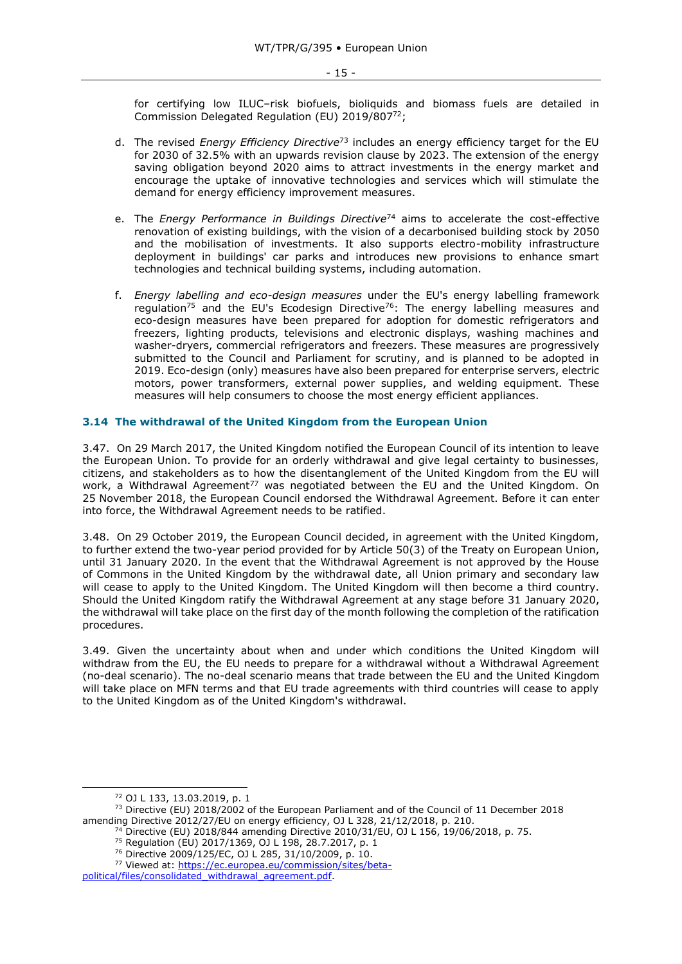for certifying low ILUC–risk biofuels, bioliquids and biomass fuels are detailed in Commission Delegated Regulation (EU) 2019/807<sup>72</sup>;

- d. The revised *Energy Efficiency Directive*<sup>73</sup> includes an energy efficiency target for the EU for 2030 of 32.5% with an upwards revision clause by 2023. The extension of the energy saving obligation beyond 2020 aims to attract investments in the energy market and encourage the uptake of innovative technologies and services which will stimulate the demand for energy efficiency improvement measures.
- e. The *Energy Performance in Buildings Directive*<sup>74</sup> aims to accelerate the cost-effective renovation of existing buildings, with the vision of a decarbonised building stock by 2050 and the mobilisation of investments. It also supports electro-mobility infrastructure deployment in buildings' car parks and introduces new provisions to enhance smart technologies and technical building systems, including automation.
- f. *Energy labelling and eco-design measures* under the EU's energy labelling framework regulation<sup>75</sup> and the EU's Ecodesign Directive<sup>76</sup>: The energy labelling measures and eco-design measures have been prepared for adoption for domestic refrigerators and freezers, lighting products, televisions and electronic displays, washing machines and washer-dryers, commercial refrigerators and freezers. These measures are progressively submitted to the Council and Parliament for scrutiny, and is planned to be adopted in 2019. Eco-design (only) measures have also been prepared for enterprise servers, electric motors, power transformers, external power supplies, and welding equipment*.* These measures will help consumers to choose the most energy efficient appliances.

#### <span id="page-14-0"></span>**3.14 The withdrawal of the United Kingdom from the European Union**

3.47. On 29 March 2017, the United Kingdom notified the European Council of its intention to leave the European Union. To provide for an orderly withdrawal and give legal certainty to businesses, citizens, and stakeholders as to how the disentanglement of the United Kingdom from the EU will work, a Withdrawal Agreement<sup>77</sup> was negotiated between the EU and the United Kingdom. On 25 November 2018, the European Council endorsed the Withdrawal Agreement. Before it can enter into force, the Withdrawal Agreement needs to be ratified.

3.48. On 29 October 2019, the European Council decided, in agreement with the United Kingdom, to further extend the two-year period provided for by Article 50(3) of the Treaty on European Union, until 31 January 2020. In the event that the Withdrawal Agreement is not approved by the House of Commons in the United Kingdom by the withdrawal date, all Union primary and secondary law will cease to apply to the United Kingdom. The United Kingdom will then become a third country. Should the United Kingdom ratify the Withdrawal Agreement at any stage before 31 January 2020, the withdrawal will take place on the first day of the month following the completion of the ratification procedures.

3.49. Given the uncertainty about when and under which conditions the United Kingdom will withdraw from the EU, the EU needs to prepare for a withdrawal without a Withdrawal Agreement (no-deal scenario). The no-deal scenario means that trade between the EU and the United Kingdom will take place on MFN terms and that EU trade agreements with third countries will cease to apply to the United Kingdom as of the United Kingdom's withdrawal.

-

<sup>74</sup> Directive (EU) 2018/844 amending Directive 2010/31/EU, OJ L 156, 19/06/2018, p. 75.

<sup>76</sup> Directive 2009/125/EC, OJ L 285, 31/10/2009, p. 10.

<sup>72</sup> OJ L 133, 13.03.2019, p. 1

<sup>&</sup>lt;sup>73</sup> Directive (EU) 2018/2002 of the European Parliament and of the Council of 11 December 2018 amending Directive 2012/27/EU on energy efficiency, OJ L 328, 21/12/2018, p. 210.

<sup>75</sup> Regulation (EU) 2017/1369, OJ L 198, 28.7.2017, p. 1

<sup>77</sup> Viewed at: [https://ec.europea.eu/commission/sites/beta-](https://ec.europea.eu/commission/sites/beta-political/files/consolidated_withdrawal_agreement.pdf)

[political/files/consolidated\\_withdrawal\\_agreement.pdf.](https://ec.europea.eu/commission/sites/beta-political/files/consolidated_withdrawal_agreement.pdf)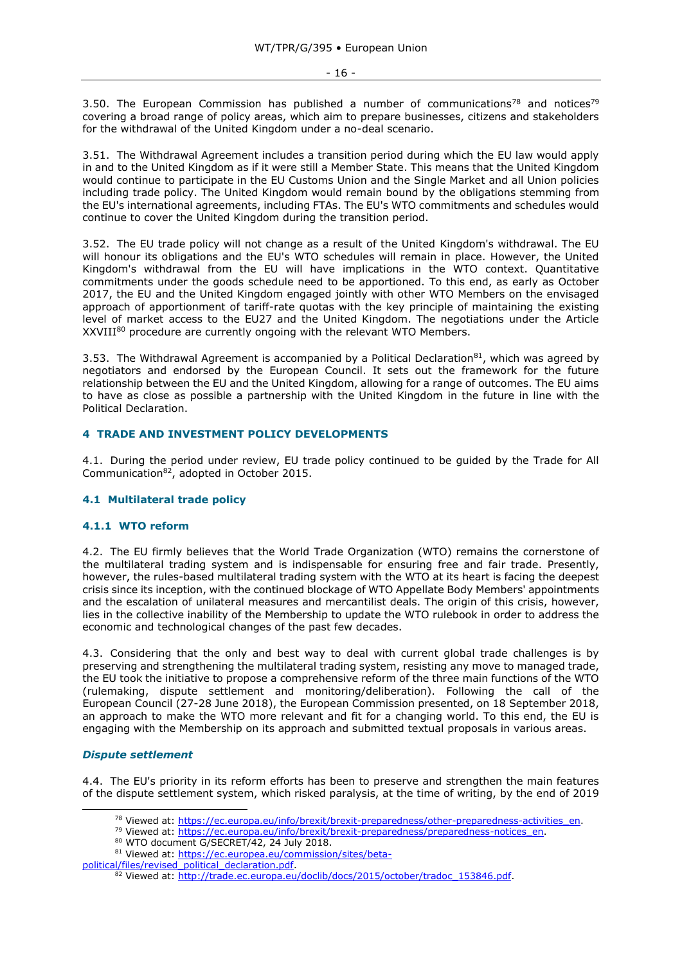3.50. The European Commission has published a number of communications<sup>78</sup> and notices<sup>79</sup> covering a broad range of policy areas, which aim to prepare businesses, citizens and stakeholders for the withdrawal of the United Kingdom under a no-deal scenario.

3.51. The Withdrawal Agreement includes a transition period during which the EU law would apply in and to the United Kingdom as if it were still a Member State. This means that the United Kingdom would continue to participate in the EU Customs Union and the Single Market and all Union policies including trade policy. The United Kingdom would remain bound by the obligations stemming from the EU's international agreements, including FTAs. The EU's WTO commitments and schedules would continue to cover the United Kingdom during the transition period.

3.52. The EU trade policy will not change as a result of the United Kingdom's withdrawal. The EU will honour its obligations and the EU's WTO schedules will remain in place. However, the United Kingdom's withdrawal from the EU will have implications in the WTO context. Quantitative commitments under the goods schedule need to be apportioned. To this end, as early as October 2017, the EU and the United Kingdom engaged jointly with other WTO Members on the envisaged approach of apportionment of tariff-rate quotas with the key principle of maintaining the existing level of market access to the EU27 and the United Kingdom. The negotiations under the Article XXVIII<sup>80</sup> procedure are currently ongoing with the relevant WTO Members.

3.53. The Withdrawal Agreement is accompanied by a Political Declaration<sup>81</sup>, which was agreed by negotiators and endorsed by the European Council. It sets out the framework for the future relationship between the EU and the United Kingdom, allowing for a range of outcomes. The EU aims to have as close as possible a partnership with the United Kingdom in the future in line with the Political Declaration.

## <span id="page-15-0"></span>**4 TRADE AND INVESTMENT POLICY DEVELOPMENTS**

4.1. During the period under review, EU trade policy continued to be guided by the Trade for All Communication<sup>82</sup>, adopted in October 2015.

## <span id="page-15-1"></span>**4.1 Multilateral trade policy**

# <span id="page-15-2"></span>**4.1.1 WTO reform**

4.2. The EU firmly believes that the World Trade Organization (WTO) remains the cornerstone of the multilateral trading system and is indispensable for ensuring free and fair trade. Presently, however, the rules-based multilateral trading system with the WTO at its heart is facing the deepest crisis since its inception, with the continued blockage of WTO Appellate Body Members' appointments and the escalation of unilateral measures and mercantilist deals. The origin of this crisis, however, lies in the collective inability of the Membership to update the WTO rulebook in order to address the economic and technological changes of the past few decades.

4.3. Considering that the only and best way to deal with current global trade challenges is by preserving and strengthening the multilateral trading system, resisting any move to managed trade, the EU took the initiative to propose a comprehensive reform of the three main functions of the WTO (rulemaking, dispute settlement and monitoring/deliberation). Following the call of the European Council (27-28 June 2018), the European Commission presented, on 18 September 2018, an approach to make the WTO more relevant and fit for a changing world. To this end, the EU is engaging with the Membership on its approach and submitted textual proposals in various areas.

## *Dispute settlement*

-

4.4. The EU's priority in its reform efforts has been to preserve and strengthen the main features of the dispute settlement system, which risked paralysis, at the time of writing, by the end of 2019

[political/files/revised\\_political\\_declaration.pdf.](https://ec.europea.eu/commission/sites/beta-political/files/revised_political_declaration.pdf)

<sup>&</sup>lt;sup>78</sup> Viewed at: [https://ec.europa.eu/info/brexit/brexit-preparedness/other-preparedness-activities\\_en.](https://ec.europa.eu/info/brexit/brexit-preparedness/other-preparedness-activities_en)

<sup>&</sup>lt;sup>79</sup> Viewed at: [https://ec.europa.eu/info/brexit/brexit-preparedness/preparedness-notices\\_en.](https://ec.europa.eu/info/brexit/brexit-preparedness/preparedness-notices_en)

<sup>80</sup> WTO document G/SECRET/42, 24 July 2018.

<sup>81</sup> Viewed at: [https://ec.europea.eu/commission/sites/beta-](https://ec.europea.eu/commission/sites/beta-political/files/revised_political_declaration.pdf)

<sup>82</sup> Viewed at: [http://trade.ec.europa.eu/doclib/docs/2015/october/tradoc\\_153846.pdf.](http://trade.ec.europa.eu/doclib/docs/2015/october/tradoc_153846.pdf)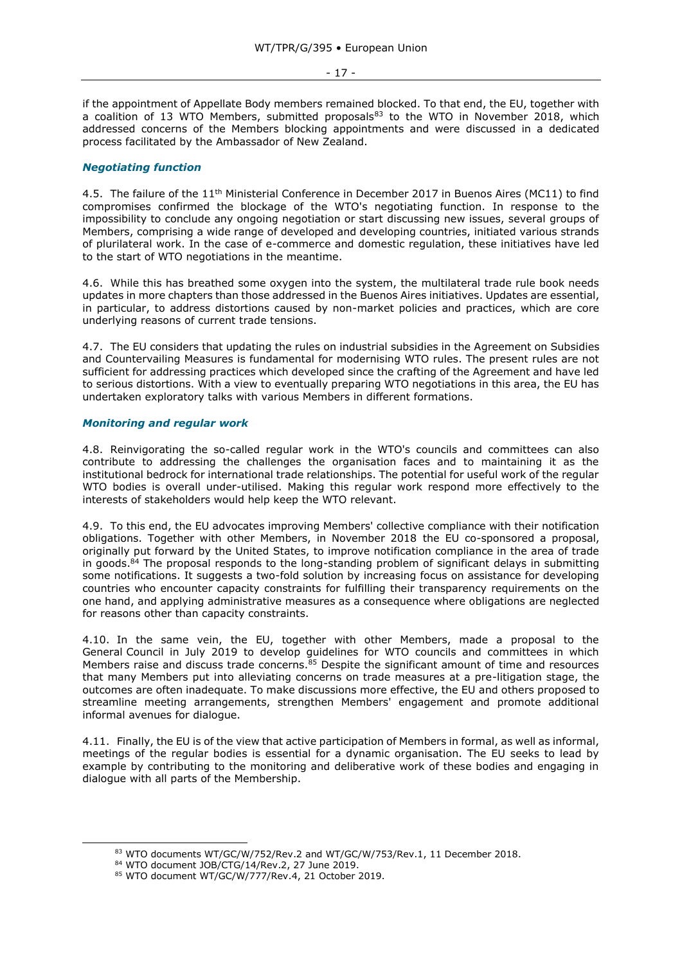if the appointment of Appellate Body members remained blocked. To that end, the EU, together with a coalition of 13 WTO Members, submitted proposals<sup>83</sup> to the WTO in November 2018, which addressed concerns of the Members blocking appointments and were discussed in a dedicated process facilitated by the Ambassador of New Zealand.

## *Negotiating function*

4.5. The failure of the 11<sup>th</sup> Ministerial Conference in December 2017 in Buenos Aires (MC11) to find compromises confirmed the blockage of the WTO's negotiating function. In response to the impossibility to conclude any ongoing negotiation or start discussing new issues, several groups of Members, comprising a wide range of developed and developing countries, initiated various strands of plurilateral work. In the case of e-commerce and domestic regulation, these initiatives have led to the start of WTO negotiations in the meantime.

4.6. While this has breathed some oxygen into the system, the multilateral trade rule book needs updates in more chapters than those addressed in the Buenos Aires initiatives. Updates are essential, in particular, to address distortions caused by non-market policies and practices, which are core underlying reasons of current trade tensions.

4.7. The EU considers that updating the rules on industrial subsidies in the Agreement on Subsidies and Countervailing Measures is fundamental for modernising WTO rules. The present rules are not sufficient for addressing practices which developed since the crafting of the Agreement and have led to serious distortions. With a view to eventually preparing WTO negotiations in this area, the EU has undertaken exploratory talks with various Members in different formations.

## *Monitoring and regular work*

4.8. Reinvigorating the so-called regular work in the WTO's councils and committees can also contribute to addressing the challenges the organisation faces and to maintaining it as the institutional bedrock for international trade relationships. The potential for useful work of the regular WTO bodies is overall under-utilised. Making this regular work respond more effectively to the interests of stakeholders would help keep the WTO relevant.

4.9. To this end, the EU advocates improving Members' collective compliance with their notification obligations. Together with other Members, in November 2018 the EU co-sponsored a proposal, originally put forward by the United States, to improve notification compliance in the area of trade in goods.<sup>84</sup> The proposal responds to the long-standing problem of significant delays in submitting some notifications. It suggests a two-fold solution by increasing focus on assistance for developing countries who encounter capacity constraints for fulfilling their transparency requirements on the one hand, and applying administrative measures as a consequence where obligations are neglected for reasons other than capacity constraints.

4.10. In the same vein, the EU, together with other Members, made a proposal to the General Council in July 2019 to develop guidelines for WTO councils and committees in which Members raise and discuss trade concerns.<sup>85</sup> Despite the significant amount of time and resources that many Members put into alleviating concerns on trade measures at a pre-litigation stage, the outcomes are often inadequate. To make discussions more effective, the EU and others proposed to streamline meeting arrangements, strengthen Members' engagement and promote additional informal avenues for dialogue.

4.11. Finally, the EU is of the view that active participation of Members in formal, as well as informal, meetings of the regular bodies is essential for a dynamic organisation. The EU seeks to lead by example by contributing to the monitoring and deliberative work of these bodies and engaging in dialogue with all parts of the Membership.

<sup>83</sup> WTO documents WT/GC/W/752/Rev.2 and WT/GC/W/753/Rev.1, 11 December 2018.

<sup>84</sup> WTO document JOB/CTG/14/Rev.2, 27 June 2019.

<sup>85</sup> WTO document WT/GC/W/777/Rev.4, 21 October 2019.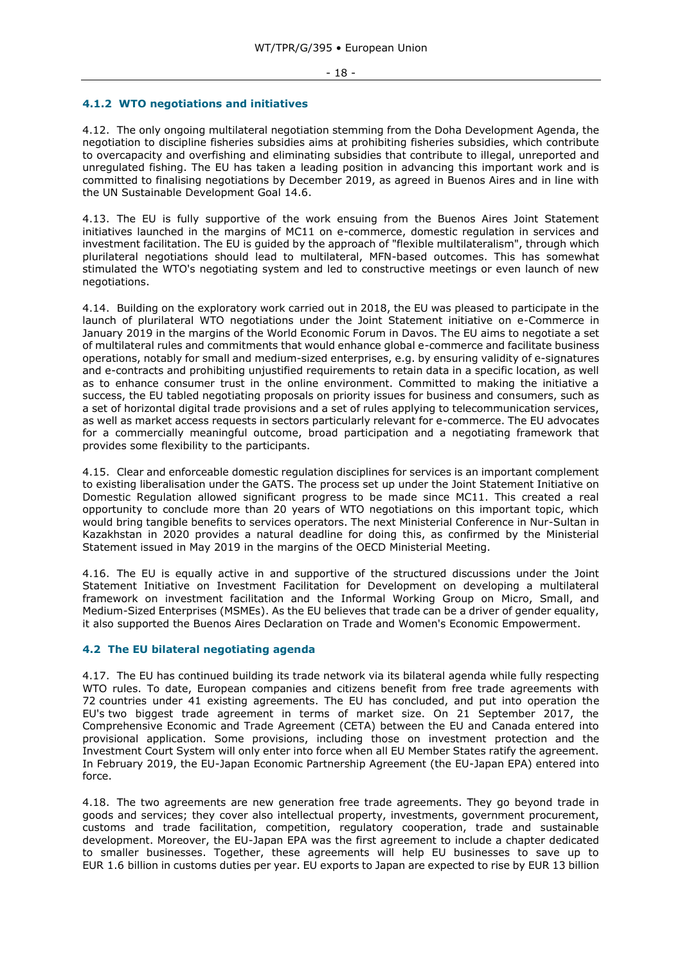#### - 18 -

#### <span id="page-17-0"></span>**4.1.2 WTO negotiations and initiatives**

4.12. The only ongoing multilateral negotiation stemming from the Doha Development Agenda, the negotiation to discipline fisheries subsidies aims at prohibiting fisheries subsidies, which contribute to overcapacity and overfishing and eliminating subsidies that contribute to illegal, unreported and unregulated fishing. The EU has taken a leading position in advancing this important work and is committed to finalising negotiations by December 2019, as agreed in Buenos Aires and in line with the UN Sustainable Development Goal 14.6.

4.13. The EU is fully supportive of the work ensuing from the Buenos Aires Joint Statement initiatives launched in the margins of MC11 on e-commerce, domestic regulation in services and investment facilitation. The EU is guided by the approach of "flexible multilateralism", through which plurilateral negotiations should lead to multilateral, MFN-based outcomes. This has somewhat stimulated the WTO's negotiating system and led to constructive meetings or even launch of new negotiations.

4.14. Building on the exploratory work carried out in 2018, the EU was pleased to participate in the launch of plurilateral WTO negotiations under the Joint Statement initiative on e-Commerce in January 2019 in the margins of the World Economic Forum in Davos. The EU aims to negotiate a set of multilateral rules and commitments that would enhance global e-commerce and facilitate business operations, notably for small and medium-sized enterprises, e.g. by ensuring validity of e-signatures and e-contracts and prohibiting unjustified requirements to retain data in a specific location, as well as to enhance consumer trust in the online environment. Committed to making the initiative a success, the EU tabled negotiating proposals on priority issues for business and consumers, such as a set of horizontal digital trade provisions and a set of rules applying to telecommunication services, as well as market access requests in sectors particularly relevant for e-commerce. The EU advocates for a commercially meaningful outcome, broad participation and a negotiating framework that provides some flexibility to the participants.

4.15. Clear and enforceable domestic regulation disciplines for services is an important complement to existing liberalisation under the GATS. The process set up under the Joint Statement Initiative on Domestic Regulation allowed significant progress to be made since MC11. This created a real opportunity to conclude more than 20 years of WTO negotiations on this important topic, which would bring tangible benefits to services operators. The next Ministerial Conference in Nur-Sultan in Kazakhstan in 2020 provides a natural deadline for doing this, as confirmed by the Ministerial Statement issued in May 2019 in the margins of the OECD Ministerial Meeting.

4.16. The EU is equally active in and supportive of the structured discussions under the Joint Statement Initiative on Investment Facilitation for Development on developing a multilateral framework on investment facilitation and the Informal Working Group on Micro, Small, and Medium-Sized Enterprises (MSMEs). As the EU believes that trade can be a driver of gender equality, it also supported the Buenos Aires Declaration on Trade and Women's Economic Empowerment.

## <span id="page-17-1"></span>**4.2 The EU bilateral negotiating agenda**

4.17. The EU has continued building its trade network via its bilateral agenda while fully respecting WTO rules. To date, European companies and citizens benefit from free trade agreements with 72 countries under 41 existing agreements. The EU has concluded, and put into operation the EU's two biggest trade agreement in terms of market size. On 21 September 2017, the Comprehensive Economic and Trade Agreement (CETA) between the EU and Canada entered into provisional application. Some provisions, including those on investment protection and the Investment Court System will only enter into force when all EU Member States ratify the agreement. In February 2019, the EU-Japan Economic Partnership Agreement (the EU-Japan EPA) entered into force.

4.18. The two agreements are new generation free trade agreements. They go beyond trade in goods and services; they cover also intellectual property, investments, government procurement, customs and trade facilitation, competition, regulatory cooperation, trade and sustainable development. Moreover, the EU-Japan EPA was the first agreement to include a chapter dedicated to smaller businesses. Together, these agreements will help EU businesses to save up to EUR 1.6 billion in customs duties per year. EU exports to Japan are expected to rise by EUR 13 billion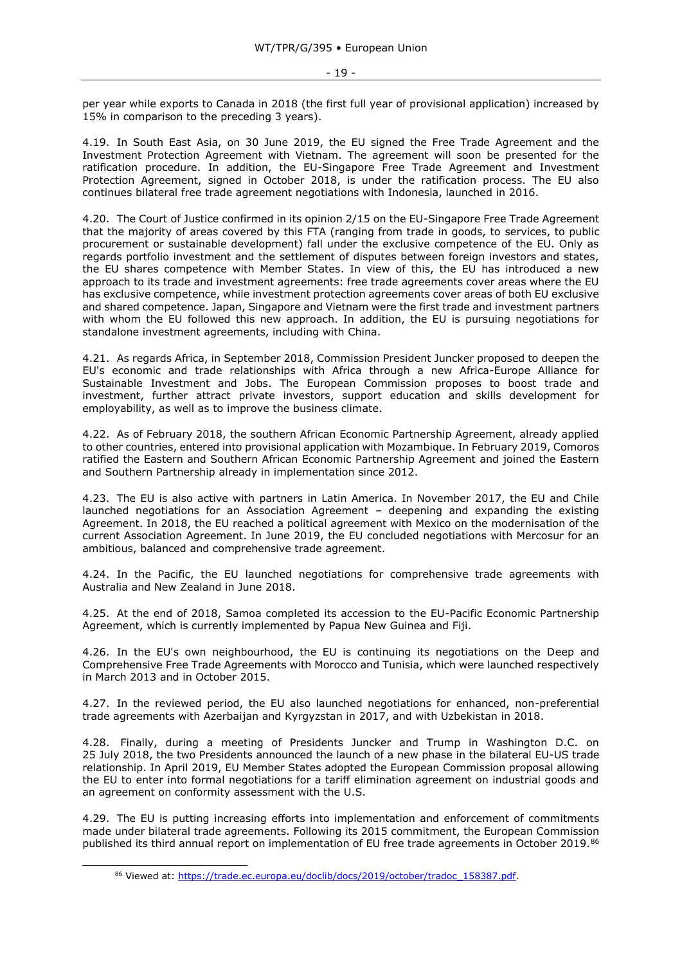per year while exports to Canada in 2018 (the first full year of provisional application) increased by 15% in comparison to the preceding 3 years).

4.19. In South East Asia, on 30 June 2019, the EU signed the Free Trade Agreement and the Investment Protection Agreement with Vietnam. The agreement will soon be presented for the ratification procedure. In addition, the EU-Singapore Free Trade Agreement and Investment Protection Agreement, signed in October 2018, is under the ratification process. The EU also continues bilateral free trade agreement negotiations with Indonesia, launched in 2016.

4.20. The Court of Justice confirmed in its opinion 2/15 on the EU-Singapore Free Trade Agreement that the majority of areas covered by this FTA (ranging from trade in goods, to services, to public procurement or sustainable development) fall under the exclusive competence of the EU. Only as regards portfolio investment and the settlement of disputes between foreign investors and states, the EU shares competence with Member States. In view of this, the EU has introduced a new approach to its trade and investment agreements: free trade agreements cover areas where the EU has exclusive competence, while investment protection agreements cover areas of both EU exclusive and shared competence. Japan, Singapore and Vietnam were the first trade and investment partners with whom the EU followed this new approach. In addition, the EU is pursuing negotiations for standalone investment agreements, including with China.

4.21. As regards Africa, in September 2018, Commission President Juncker proposed to deepen the EU's economic and trade relationships with Africa through a new Africa-Europe Alliance for Sustainable Investment and Jobs. The European Commission proposes to boost trade and investment, further attract private investors, support education and skills development for employability, as well as to improve the business climate.

4.22. As of February 2018, the southern African Economic Partnership Agreement, already applied to other countries, entered into provisional application with Mozambique. In February 2019, Comoros ratified the Eastern and Southern African Economic Partnership Agreement and joined the Eastern and Southern Partnership already in implementation since 2012.

4.23. The EU is also active with partners in Latin America. In November 2017, the EU and Chile launched negotiations for an Association Agreement – deepening and expanding the existing Agreement. In 2018, the EU reached a political agreement with Mexico on the modernisation of the current Association Agreement. In June 2019, the EU concluded negotiations with Mercosur for an ambitious, balanced and comprehensive trade agreement.

4.24. In the Pacific, the EU launched negotiations for comprehensive trade agreements with Australia and New Zealand in June 2018.

4.25. At the end of 2018, Samoa completed its accession to the EU-Pacific Economic Partnership Agreement, which is currently implemented by Papua New Guinea and Fiji.

4.26. In the EU's own neighbourhood, the EU is continuing its negotiations on the Deep and Comprehensive Free Trade Agreements with Morocco and Tunisia, which were launched respectively in March 2013 and in October 2015.

4.27. In the reviewed period, the EU also launched negotiations for enhanced, non-preferential trade agreements with Azerbaijan and Kyrgyzstan in 2017, and with Uzbekistan in 2018.

4.28. Finally, during a meeting of Presidents Juncker and Trump in Washington D.C. on 25 July 2018, the two Presidents announced the launch of a new phase in the bilateral EU-US trade relationship. In April 2019, EU Member States adopted the European Commission proposal allowing the EU to enter into formal negotiations for a tariff elimination agreement on industrial goods and an agreement on conformity assessment with the U.S.

4.29. The EU is putting increasing efforts into implementation and enforcement of commitments made under bilateral trade agreements. Following its 2015 commitment, the European Commission published its third annual report on implementation of EU free trade agreements in October 2019.<sup>86</sup>

<sup>86</sup> Viewed at: [https://trade.ec.europa.eu/doclib/docs/2019/october/tradoc\\_158387.pdf.](https://trade.ec.europa.eu/doclib/docs/2019/october/tradoc_158387.pdf)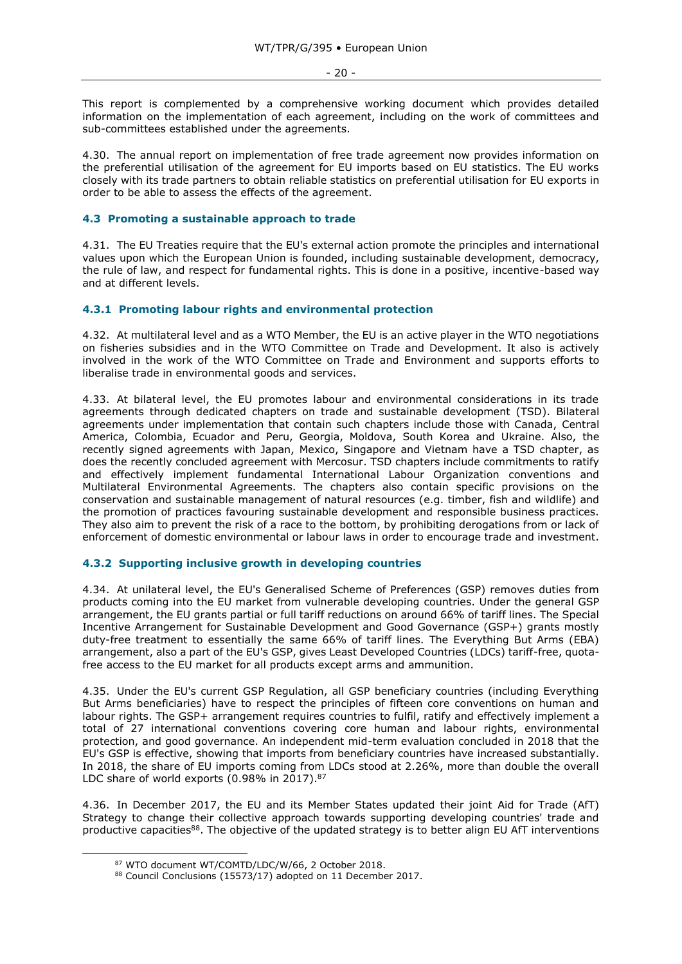- 20 -

This report is complemented by a comprehensive working document which provides detailed information on the implementation of each agreement, including on the work of committees and sub-committees established under the agreements.

4.30. The annual report on implementation of free trade agreement now provides information on the preferential utilisation of the agreement for EU imports based on EU statistics. The EU works closely with its trade partners to obtain reliable statistics on preferential utilisation for EU exports in order to be able to assess the effects of the agreement.

# <span id="page-19-0"></span>**4.3 Promoting a sustainable approach to trade**

4.31. The EU Treaties require that the EU's external action promote the principles and international values upon which the European Union is founded, including sustainable development, democracy, the rule of law, and respect for fundamental rights. This is done in a positive, incentive-based way and at different levels.

## <span id="page-19-1"></span>**4.3.1 Promoting labour rights and environmental protection**

4.32. At multilateral level and as a WTO Member, the EU is an active player in the WTO negotiations on fisheries subsidies and in the WTO Committee on Trade and Development. It also is actively involved in the work of the WTO Committee on Trade and Environment and supports efforts to liberalise trade in environmental goods and services.

4.33. At bilateral level, the EU promotes labour and environmental considerations in its trade agreements through dedicated chapters on trade and sustainable development (TSD). Bilateral agreements under implementation that contain such chapters include those with Canada, [Central](http://ec.europa.eu/trade/policy/countries-and-regions/regions/central-america/)  [America,](http://ec.europa.eu/trade/policy/countries-and-regions/regions/central-america/) Colombia, Ecuador and Peru, Georgia, Moldova, [South Korea](http://ec.europa.eu/trade/policy/countries-and-regions/countries/south-korea/) [a](http://ec.europa.eu/trade/policy/countries-and-regions/regions/andean-community/)nd Ukraine. Also, the recently signed agreements with Japan, Mexico, Singapore and Vietnam have a TSD chapter, as does the recently concluded agreement with Mercosur. TSD chapters include commitments to ratify and effectively implement fundamental [International Labour Organization](http://www.ilo.org/global/lang--en/index.htm) conventions and Multilateral Environmental Agreements. The chapters also contain specific provisions on the conservation and sustainable management of natural resources (e.g. timber, fish and wildlife) and the promotion of practices favouring sustainable development and responsible business practices. They also aim to prevent the risk of a race to the bottom, by prohibiting derogations from or lack of enforcement of domestic environmental or labour laws in order to encourage trade and investment.

#### <span id="page-19-2"></span>**4.3.2 Supporting inclusive growth in developing countries**

4.34. At unilateral level, the EU's Generalised Scheme of Preferences (GSP) removes duties from products coming into the EU market from vulnerable developing countries. Under the general GSP arrangement, the EU grants partial or full tariff reductions on around 66% of tariff lines. The Special Incentive Arrangement for Sustainable Development and Good Governance (GSP+) grants mostly duty-free treatment to essentially the same 66% of tariff lines. The Everything But Arms (EBA) arrangement, also a part of the EU's GSP, gives Least Developed Countries (LDCs) tariff-free, quotafree access to the EU market for all products except arms and ammunition.

4.35. Under the EU's current GSP Regulation, all GSP beneficiary countries (including Everything But Arms beneficiaries) have to respect the principles of fifteen core conventions on human and labour rights. The GSP+ arrangement requires countries to fulfil, ratify and effectively implement a total of 27 international conventions covering core human and labour rights, environmental protection, and good governance. An independent mid-term evaluation concluded in 2018 that the EU's GSP is effective, showing that imports from beneficiary countries have increased substantially. In 2018, the share of EU imports coming from LDCs stood at 2.26%, more than double the overall LDC share of world exports (0.98% in 2017).<sup>87</sup>

4.36. In December 2017, the EU and its Member States updated their joint Aid for Trade (AfT) Strategy to change their collective approach towards supporting developing countries' trade and productive capacities<sup>88</sup>. The objective of the updated strategy is to better align EU AfT interventions

<sup>87</sup> WTO document WT/COMTD/LDC/W/66, 2 October 2018.

<sup>88</sup> Council Conclusions (15573/17) adopted on 11 December 2017.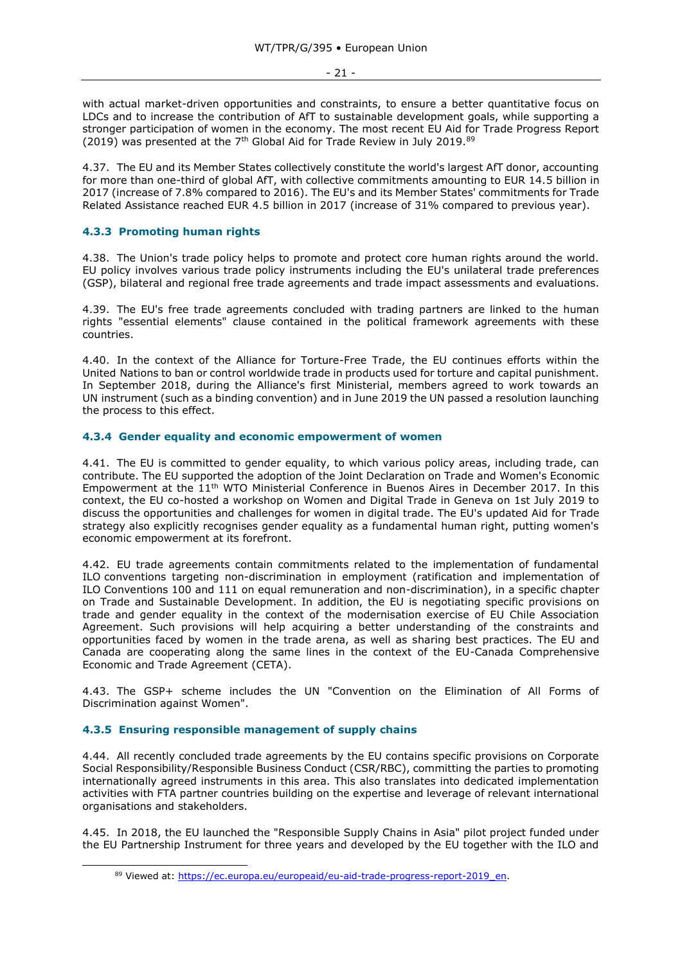- 21 -

with actual market-driven opportunities and constraints, to ensure a better quantitative focus on LDCs and to increase the contribution of AfT to sustainable development goals, while supporting a stronger participation of women in the economy. The most recent EU Aid for Trade Progress Report (2019) was presented at the  $7<sup>th</sup>$  Global Aid for Trade Review in July 2019.<sup>89</sup>

4.37. The EU and its Member States collectively constitute the world's largest AfT donor, accounting for more than one-third of global AfT, with collective commitments amounting to EUR 14.5 billion in 2017 (increase of 7.8% compared to 2016). The EU's and its Member States' commitments for Trade Related Assistance reached EUR 4.5 billion in 2017 (increase of 31% compared to previous year).

# <span id="page-20-0"></span>**4.3.3 Promoting human rights**

4.38. The Union's trade policy helps to promote and protect core human rights around the world. EU policy involves various trade policy instruments including the EU's unilateral trade preferences (GSP), bilateral and regional free trade agreements and trade impact assessments and evaluations.

4.39. The EU's free trade agreements concluded with trading partners are linked to the human rights "essential elements" clause contained in the political framework agreements with these countries.

4.40. In the context of the Alliance for Torture-Free Trade, the EU continues efforts within the United Nations to ban or control worldwide trade in products used for torture and capital punishment. In September 2018, during the Alliance's first Ministerial, members agreed to work towards an UN instrument (such as a binding convention) and in June 2019 the UN passed a resolution launching the process to this effect.

## <span id="page-20-1"></span>**4.3.4 Gender equality and economic empowerment of women**

4.41. The EU is committed to gender equality, to which various policy areas, including trade, can contribute. The EU supported the adoption of the Joint Declaration on Trade and Women's Economic Empowerment at the 11th WTO Ministerial Conference in Buenos Aires in December 2017. In this context, the EU co-hosted a workshop on Women and Digital Trade in Geneva on 1st July 2019 to discuss the opportunities and challenges for women in digital trade. The EU's updated Aid for Trade strategy also explicitly recognises gender equality as a fundamental human right, putting women's economic empowerment at its forefront.

4.42. EU trade agreements contain commitments related to the implementation of fundamental ILO conventions targeting non-discrimination in employment (ratification and implementation of ILO Conventions 100 and 111 on equal remuneration and non-discrimination), in a specific chapter on Trade and Sustainable Development. In addition, the EU is negotiating specific provisions on trade and gender equality in the context of the modernisation exercise of EU Chile Association Agreement. Such provisions will help acquiring a better understanding of the constraints and opportunities faced by women in the trade arena, as well as sharing best practices. The EU and Canada are cooperating along the same lines in the context of the EU-Canada Comprehensive Economic and Trade Agreement (CETA).

4.43. The GSP+ scheme includes the UN "Convention on the Elimination of All Forms of Discrimination against Women".

## <span id="page-20-2"></span>**4.3.5 Ensuring responsible management of supply chains**

-

4.44. All recently concluded trade agreements by the EU contains specific provisions on Corporate Social Responsibility/Responsible Business Conduct (CSR/RBC), committing the parties to promoting internationally agreed instruments in this area. This also translates into dedicated implementation activities with FTA partner countries building on the expertise and leverage of relevant international organisations and stakeholders.

4.45. In 2018, the EU launched the "Responsible Supply Chains in Asia" pilot project funded under the EU Partnership Instrument for three years and developed by the EU together with the ILO and

<sup>89</sup> Viewed at: [https://ec.europa.eu/europeaid/eu-aid-trade-progress-report-2019\\_en.](https://ec.europa.eu/europeaid/eu-aid-trade-progress-report-2019_en)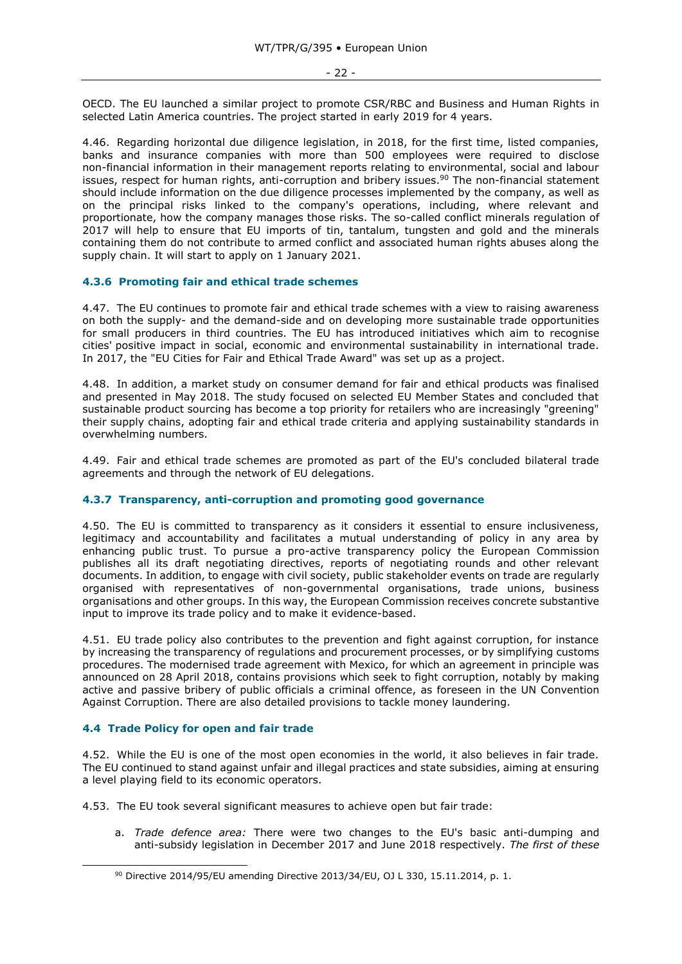OECD. The EU launched a similar project to promote CSR/RBC and Business and Human Rights in selected Latin America countries. The project started in early 2019 for 4 years.

4.46. Regarding horizontal due diligence legislation, in 2018, for the first time, listed companies, banks and insurance companies with more than 500 employees were required to disclose non-financial information in their management reports relating to environmental, social and labour issues, respect for human rights, anti-corruption and bribery issues.<sup>90</sup> The non-financial statement should include information on the due diligence processes implemented by the company, as well as on the principal risks linked to the company's operations, including, where relevant and proportionate, how the company manages those risks. The so-called conflict minerals regulation of 2017 will help to ensure that EU imports of tin, tantalum, tungsten and gold and the minerals containing them do not contribute to armed conflict and associated human rights abuses along the supply chain. It will start to apply on 1 January 2021.

## <span id="page-21-0"></span>**4.3.6 Promoting fair and ethical trade schemes**

4.47. The EU continues to promote fair and ethical trade schemes with a view to raising awareness on both the supply- and the demand-side and on developing more sustainable trade opportunities for small producers in third countries. The EU has introduced initiatives which aim to recognise cities' positive impact in social, economic and environmental sustainability in international trade. In 2017, the "EU Cities for Fair and Ethical Trade Award" was set up as a project.

4.48. In addition, a market study on consumer demand for fair and ethical products was finalised and presented in May 2018. The study focused on selected EU Member States and concluded that sustainable product sourcing has become a top priority for retailers who are increasingly "greening" their supply chains, adopting fair and ethical trade criteria and applying sustainability standards in overwhelming numbers.

4.49. Fair and ethical trade schemes are promoted as part of the EU's concluded bilateral trade agreements and through the network of EU delegations.

## <span id="page-21-1"></span>**4.3.7 Transparency, anti-corruption and promoting good governance**

4.50. The EU is committed to transparency as it considers it essential to ensure inclusiveness, legitimacy and accountability and facilitates a mutual understanding of policy in any area by enhancing public trust. To pursue a pro-active transparency policy the European Commission publishes all its draft negotiating directives, reports of negotiating rounds and other relevant documents. In addition, to engage with civil society, public stakeholder events on trade are regularly organised with representatives of non-governmental organisations, trade unions, business organisations and other groups. In this way, the European Commission receives concrete substantive input to improve its trade policy and to make it evidence-based.

4.51. EU trade policy also contributes to the prevention and fight against corruption, for instance by increasing the transparency of regulations and procurement processes, or by simplifying customs procedures. The modernised trade agreement with Mexico, for which an agreement in principle was announced on 28 April 2018, contains provisions which seek to fight corruption, notably by making active and passive bribery of public officials a criminal offence, as foreseen in the UN Convention Against Corruption. There are also detailed provisions to tackle money laundering.

## <span id="page-21-2"></span>**4.4 Trade Policy for open and fair trade**

-

4.52. While the EU is one of the most open economies in the world, it also believes in fair trade. The EU continued to stand against unfair and illegal practices and state subsidies, aiming at ensuring a level playing field to its economic operators.

4.53. The EU took several significant measures to achieve open but fair trade:

a. *Trade defence area:* There were two changes to the EU's basic anti-dumping and anti-subsidy legislation in December 2017 and June 2018 respectively. *The first of these* 

<sup>90</sup> Directive 2014/95/EU amending Directive 2013/34/EU, OJ L 330, 15.11.2014, p. 1.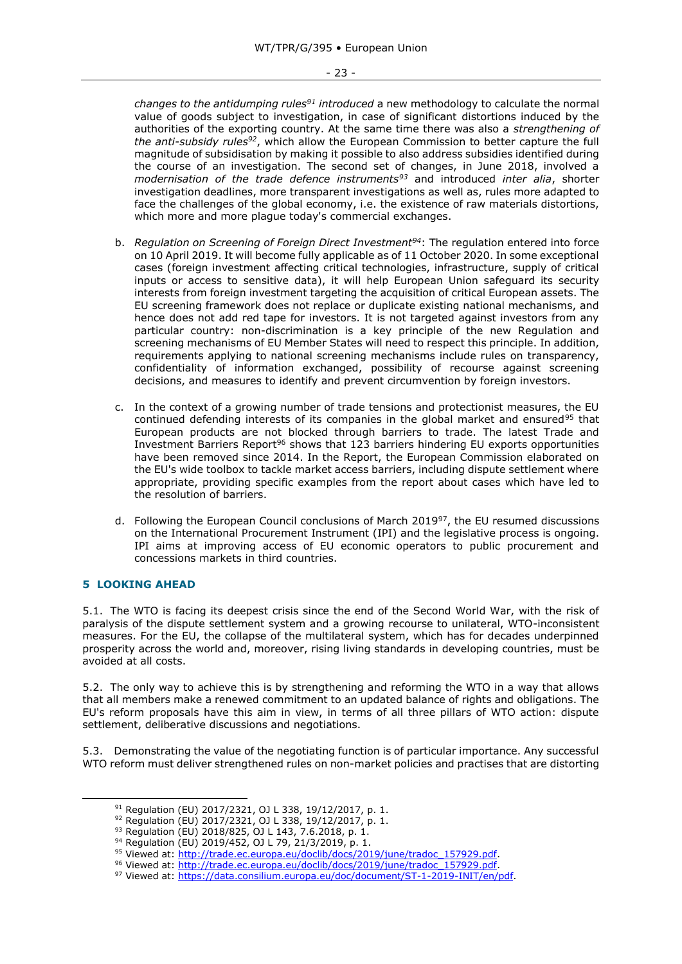*changes to the antidumping rules<sup>91</sup> introduced* a new methodology to calculate the normal value of goods subject to investigation, in case of significant distortions induced by the authorities of the exporting country. At the same time there was also a *strengthening of the anti-subsidy rules<sup>92</sup>*, which allow the European Commission to better capture the full magnitude of subsidisation by making it possible to also address subsidies identified during the course of an investigation. The second set of changes, in June 2018, involved a *modernisation of the trade defence instruments<sup>93</sup>* and introduced *inter alia*, shorter investigation deadlines, more transparent investigations as well as, rules more adapted to face the challenges of the global economy, i.e. the existence of raw materials distortions, which more and more plague today's commercial exchanges.

- b. *Regulation on Screening of Foreign Direct Investment<sup>94</sup>*: The regulation entered into force on 10 April 2019. It will become fully applicable as of 11 October 2020. In some exceptional cases (foreign investment affecting critical technologies, infrastructure, supply of critical inputs or access to sensitive data), it will help European Union safeguard its security interests from foreign investment targeting the acquisition of critical European assets. The EU screening framework does not replace or duplicate existing national mechanisms, and hence does not add red tape for investors. It is not targeted against investors from any particular country: non-discrimination is a key principle of the new Regulation and screening mechanisms of EU Member States will need to respect this principle. In addition, requirements applying to national screening mechanisms include rules on transparency, confidentiality of information exchanged, possibility of recourse against screening decisions, and measures to identify and prevent circumvention by foreign investors.
- c. In the context of a growing number of trade tensions and protectionist measures, the EU continued defending interests of its companies in the global market and ensured<sup>95</sup> that European products are not blocked through barriers to trade. The latest Trade and Investment Barriers Report<sup>96</sup> shows that 123 barriers hindering EU exports opportunities have been removed since 2014. In the Report, the European Commission elaborated on the EU's wide toolbox to tackle market access barriers, including dispute settlement where appropriate, providing specific examples from the report about cases which have led to the resolution of barriers.
- d. Following the European Council conclusions of March 2019 $97$ , the EU resumed discussions on the International Procurement Instrument (IPI) and the legislative process is ongoing. IPI aims at improving access of EU economic operators to public procurement and concessions markets in third countries.

## <span id="page-22-0"></span>**5 LOOKING AHEAD**

-

5.1. The WTO is facing its deepest crisis since the end of the Second World War, with the risk of paralysis of the dispute settlement system and a growing recourse to unilateral, WTO-inconsistent measures. For the EU, the collapse of the multilateral system, which has for decades underpinned prosperity across the world and, moreover, rising living standards in developing countries, must be avoided at all costs.

5.2. The only way to achieve this is by strengthening and reforming the WTO in a way that allows that all members make a renewed commitment to an updated balance of rights and obligations. The EU's reform proposals have this aim in view, in terms of all three pillars of WTO action: dispute settlement, deliberative discussions and negotiations.

5.3. Demonstrating the value of the negotiating function is of particular importance. Any successful WTO reform must deliver strengthened rules on non-market policies and practises that are distorting

<sup>91</sup> Regulation (EU) 2017/2321, OJ L 338, 19/12/2017, p. 1.

<sup>92</sup> Regulation (EU) 2017/2321, OJ L 338, 19/12/2017, p. 1.

<sup>93</sup> Regulation (EU) 2018/825, OJ L 143, 7.6.2018, p. 1.

<sup>94</sup> Regulation (EU) 2019/452, OJ L 79, 21/3/2019, p. 1.

<sup>95</sup> Viewed at: [http://trade.ec.europa.eu/doclib/docs/2019/june/tradoc\\_157929.pdf.](http://trade.ec.europa.eu/doclib/docs/2019/june/tradoc_157929.pdf)

<sup>96</sup> Viewed at: [http://trade.ec.europa.eu/doclib/docs/2019/june/tradoc\\_157929.pdf.](http://trade.ec.europa.eu/doclib/docs/2019/june/tradoc_157929.pdf)

<sup>97</sup> Viewed at: [https://data.consilium.europa.eu/doc/document/ST-1-2019-INIT/en/pdf.](https://data.consilium.europa.eu/doc/document/ST-1-2019-INIT/en/pdf)